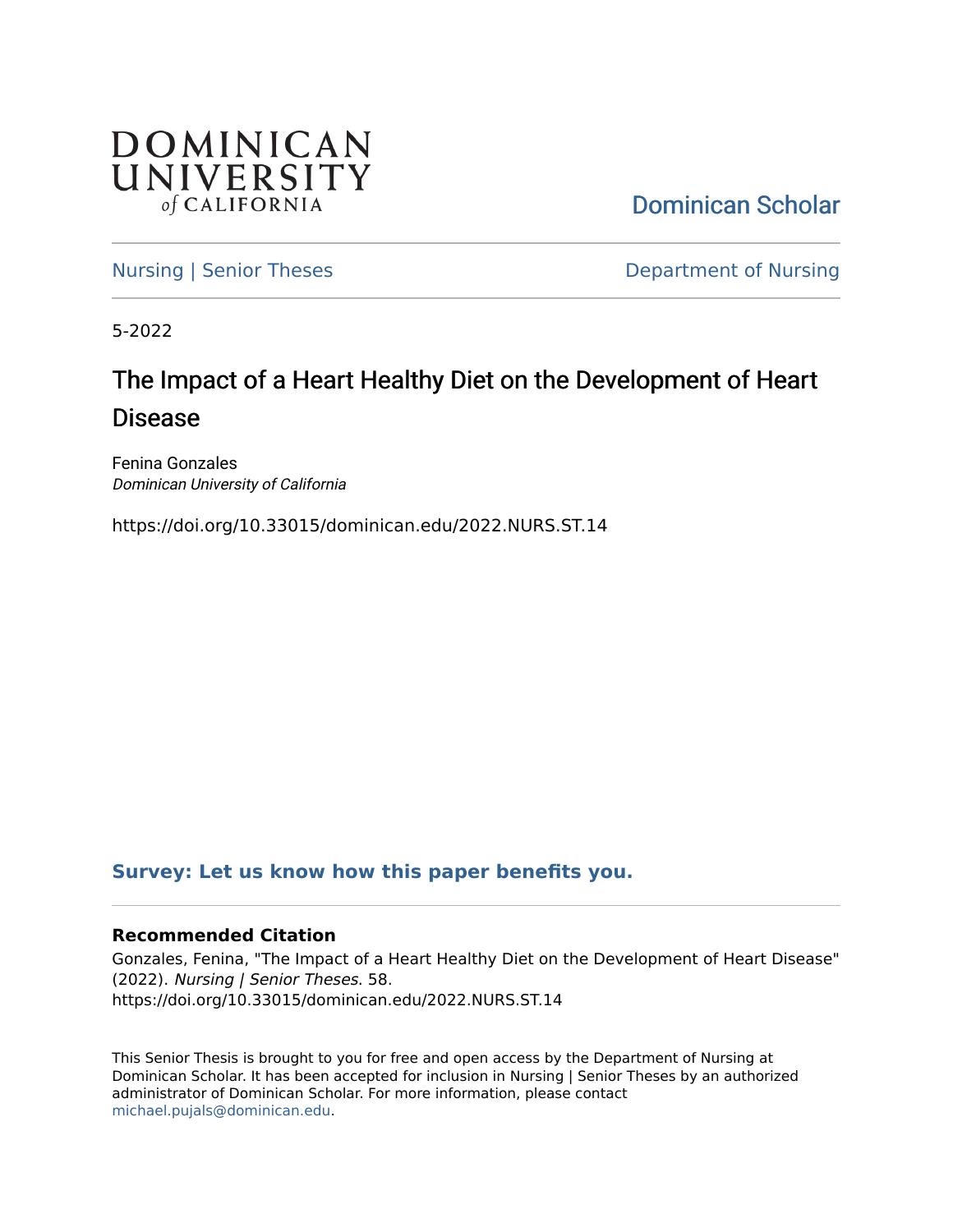

[Dominican Scholar](https://scholar.dominican.edu/) 

[Nursing | Senior Theses](https://scholar.dominican.edu/nursing-senior-theses) **Department of Nursing** 

5-2022

# The Impact of a Heart Healthy Diet on the Development of Heart Disease

Fenina Gonzales Dominican University of California

https://doi.org/10.33015/dominican.edu/2022.NURS.ST.14

# **[Survey: Let us know how this paper benefits you.](https://dominican.libwizard.com/dominican-scholar-feedback)**

#### **Recommended Citation**

Gonzales, Fenina, "The Impact of a Heart Healthy Diet on the Development of Heart Disease" (2022). Nursing | Senior Theses. 58. https://doi.org/10.33015/dominican.edu/2022.NURS.ST.14

This Senior Thesis is brought to you for free and open access by the Department of Nursing at Dominican Scholar. It has been accepted for inclusion in Nursing | Senior Theses by an authorized administrator of Dominican Scholar. For more information, please contact [michael.pujals@dominican.edu.](mailto:michael.pujals@dominican.edu)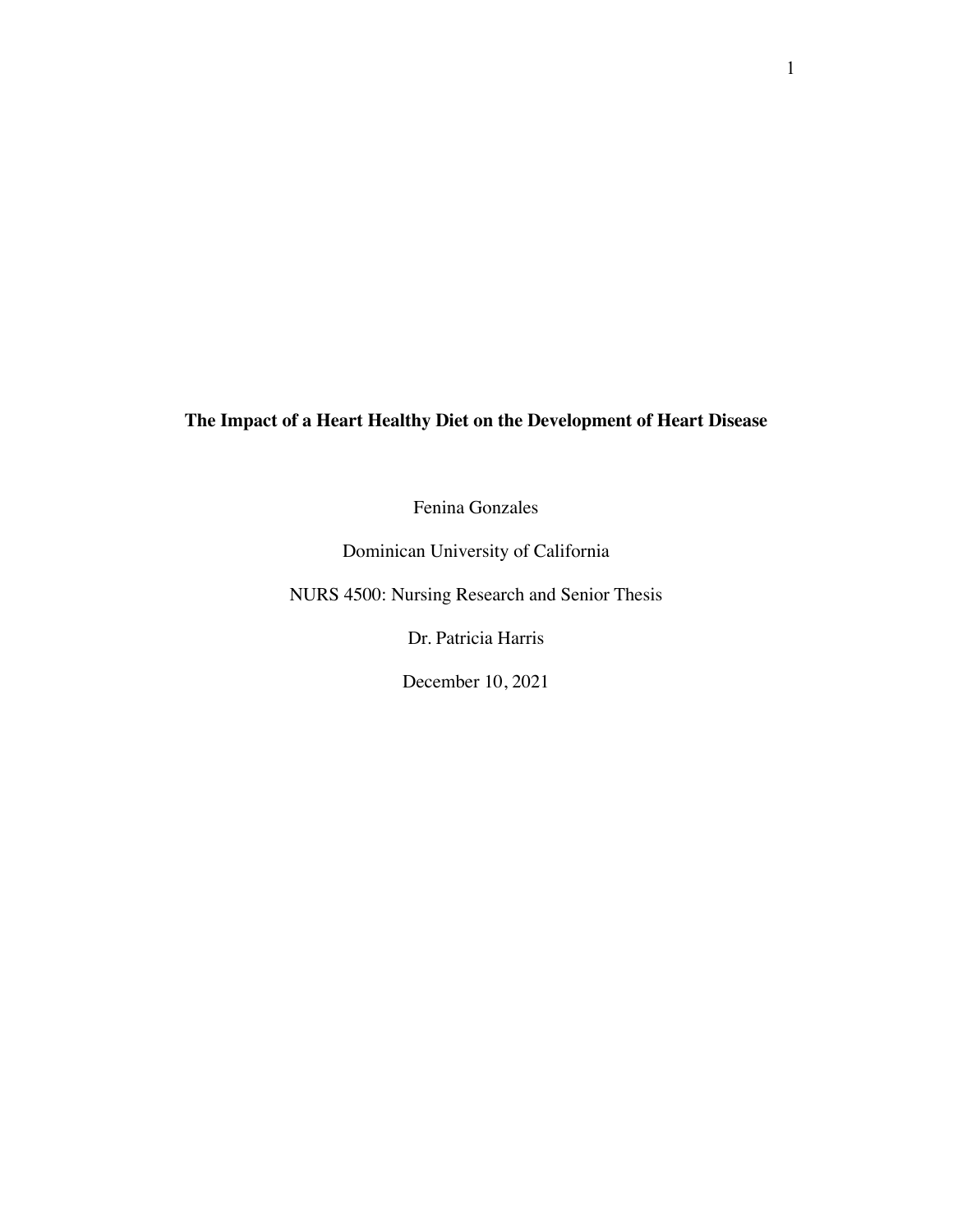### **The Impact of a Heart Healthy Diet on the Development of Heart Disease**

Fenina Gonzales

Dominican University of California

NURS 4500: Nursing Research and Senior Thesis

Dr. Patricia Harris

December 10, 2021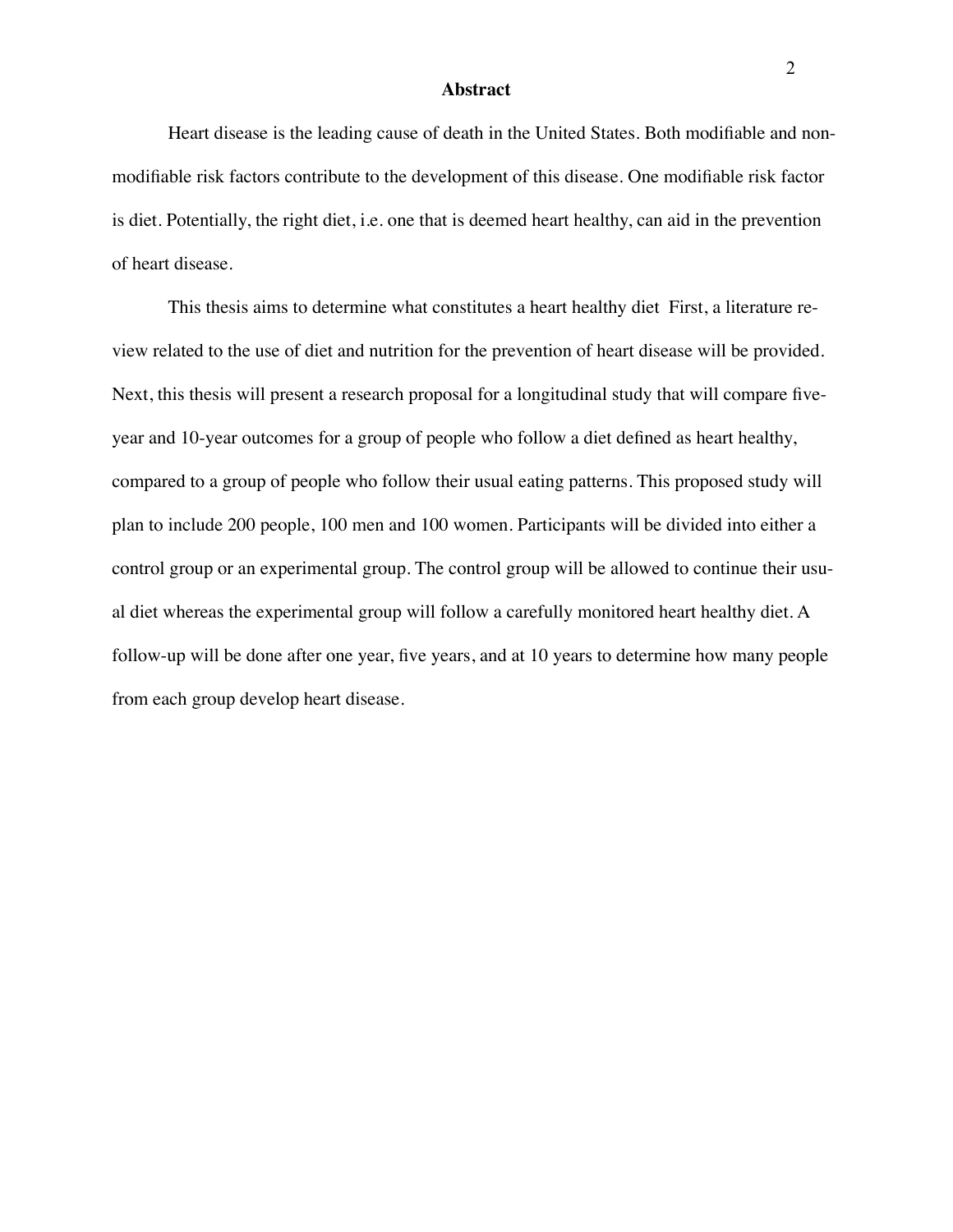#### **Abstract**

Heart disease is the leading cause of death in the United States. Both modifiable and nonmodifiable risk factors contribute to the development of this disease. One modifiable risk factor is diet. Potentially, the right diet, i.e. one that is deemed heart healthy, can aid in the prevention of heart disease.

This thesis aims to determine what constitutes a heart healthy diet First, a literature review related to the use of diet and nutrition for the prevention of heart disease will be provided. Next, this thesis will present a research proposal for a longitudinal study that will compare fiveyear and 10-year outcomes for a group of people who follow a diet defined as heart healthy, compared to a group of people who follow their usual eating patterns. This proposed study will plan to include 200 people, 100 men and 100 women. Participants will be divided into either a control group or an experimental group. The control group will be allowed to continue their usual diet whereas the experimental group will follow a carefully monitored heart healthy diet. A follow-up will be done after one year, five years, and at 10 years to determine how many people from each group develop heart disease.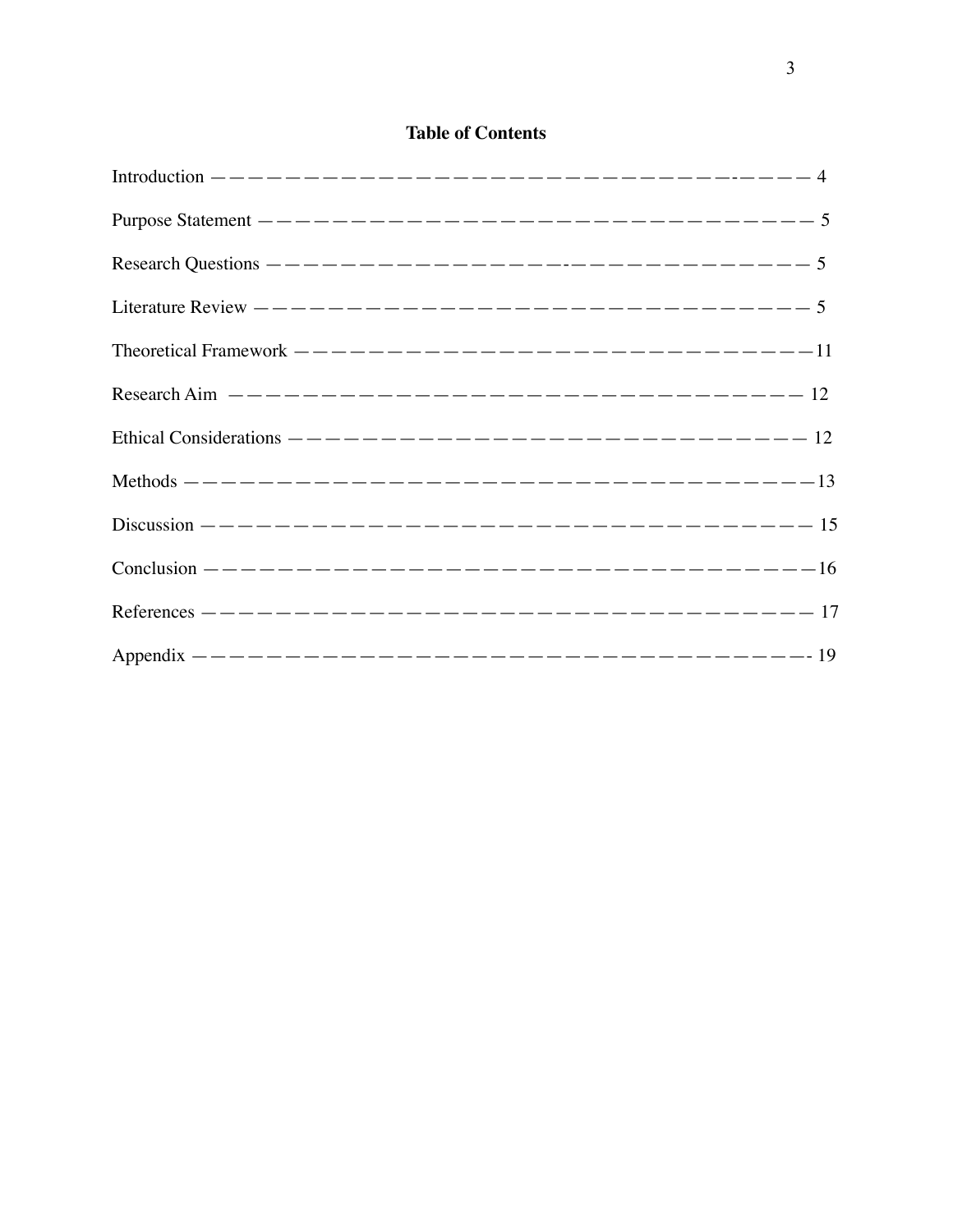# **Table of Contents**

| Theoretical Framework $---------------------------------------11$ |  |
|-------------------------------------------------------------------|--|
| Research Aim $------------------------------------12$             |  |
| Ethical Considerations $------------------------------------12$   |  |
|                                                                   |  |
|                                                                   |  |
|                                                                   |  |
|                                                                   |  |
|                                                                   |  |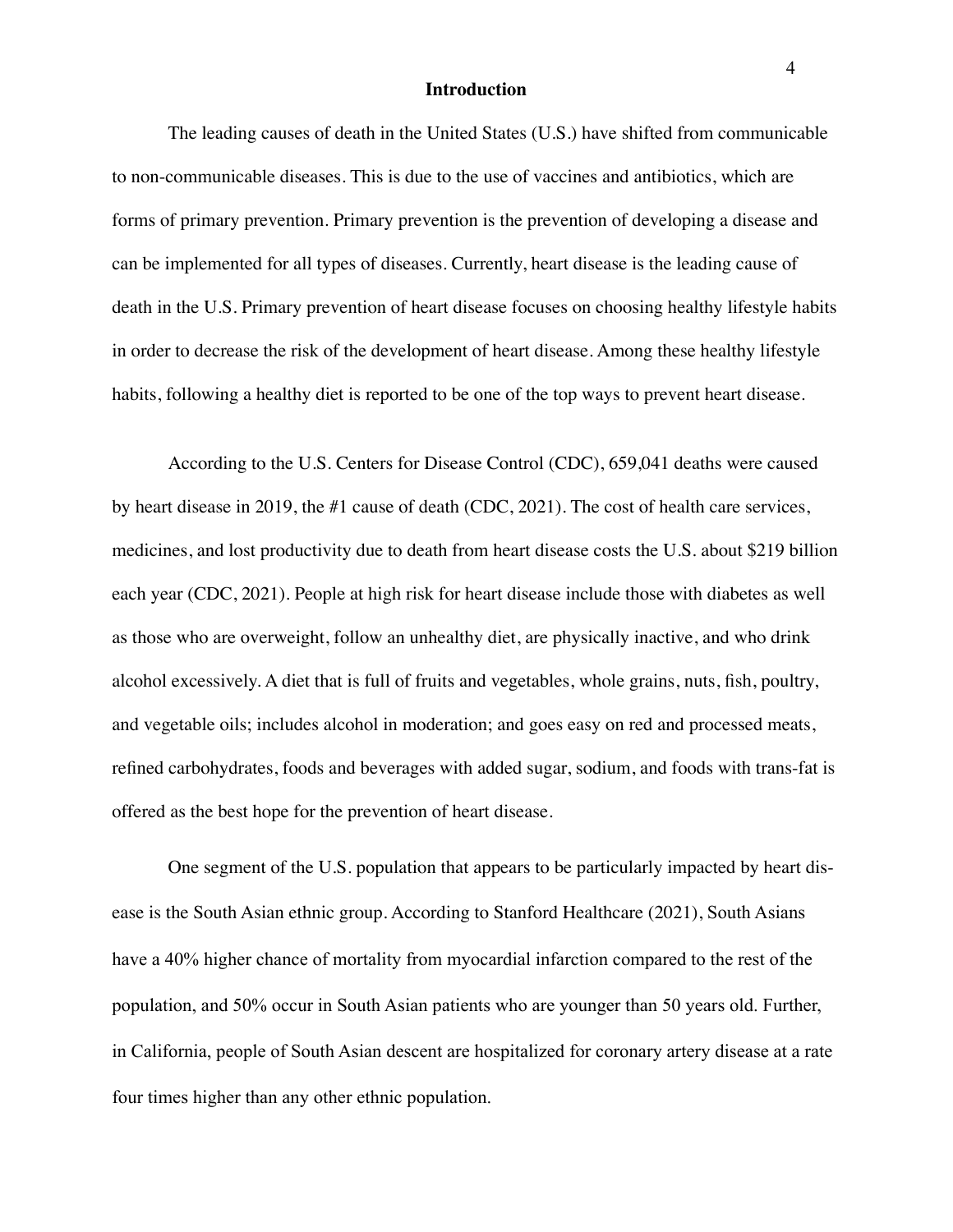#### **Introduction**

The leading causes of death in the United States (U.S.) have shifted from communicable to non-communicable diseases. This is due to the use of vaccines and antibiotics, which are forms of primary prevention. Primary prevention is the prevention of developing a disease and can be implemented for all types of diseases. Currently, heart disease is the leading cause of death in the U.S. Primary prevention of heart disease focuses on choosing healthy lifestyle habits in order to decrease the risk of the development of heart disease. Among these healthy lifestyle habits, following a healthy diet is reported to be one of the top ways to prevent heart disease.

According to the U.S. Centers for Disease Control (CDC), 659,041 deaths were caused by heart disease in 2019, the #1 cause of death (CDC, 2021). The cost of health care services, medicines, and lost productivity due to death from heart disease costs the U.S. about \$219 billion each year (CDC, 2021). People at high risk for heart disease include those with diabetes as well as those who are overweight, follow an unhealthy diet, are physically inactive, and who drink alcohol excessively. A diet that is full of fruits and vegetables, whole grains, nuts, fish, poultry, and vegetable oils; includes alcohol in moderation; and goes easy on red and processed meats, refined carbohydrates, foods and beverages with added sugar, sodium, and foods with trans-fat is offered as the best hope for the prevention of heart disease.

One segment of the U.S. population that appears to be particularly impacted by heart disease is the South Asian ethnic group. According to Stanford Healthcare (2021), South Asians have a 40% higher chance of mortality from myocardial infarction compared to the rest of the population, and 50% occur in South Asian patients who are younger than 50 years old. Further, in California, people of South Asian descent are hospitalized for coronary artery disease at a rate four times higher than any other ethnic population.

4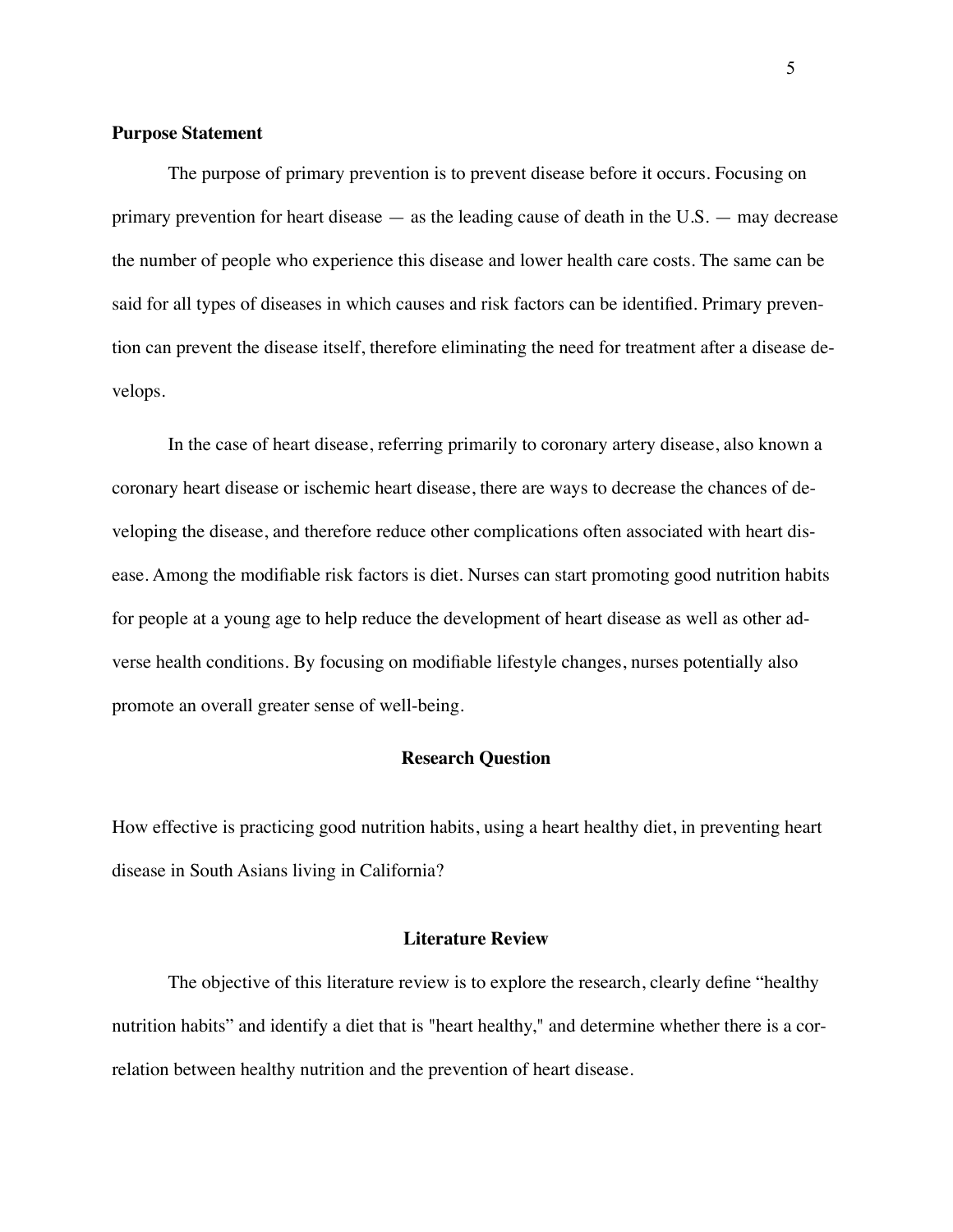#### **Purpose Statement**

The purpose of primary prevention is to prevent disease before it occurs. Focusing on primary prevention for heart disease — as the leading cause of death in the U.S. — may decrease the number of people who experience this disease and lower health care costs. The same can be said for all types of diseases in which causes and risk factors can be identified. Primary prevention can prevent the disease itself, therefore eliminating the need for treatment after a disease develops.

In the case of heart disease, referring primarily to coronary artery disease, also known a coronary heart disease or ischemic heart disease, there are ways to decrease the chances of developing the disease, and therefore reduce other complications often associated with heart disease. Among the modifiable risk factors is diet. Nurses can start promoting good nutrition habits for people at a young age to help reduce the development of heart disease as well as other adverse health conditions. By focusing on modifiable lifestyle changes, nurses potentially also promote an overall greater sense of well-being.

#### **Research Question**

How effective is practicing good nutrition habits, using a heart healthy diet, in preventing heart disease in South Asians living in California?

#### **Literature Review**

The objective of this literature review is to explore the research, clearly define "healthy nutrition habits" and identify a diet that is "heart healthy," and determine whether there is a correlation between healthy nutrition and the prevention of heart disease.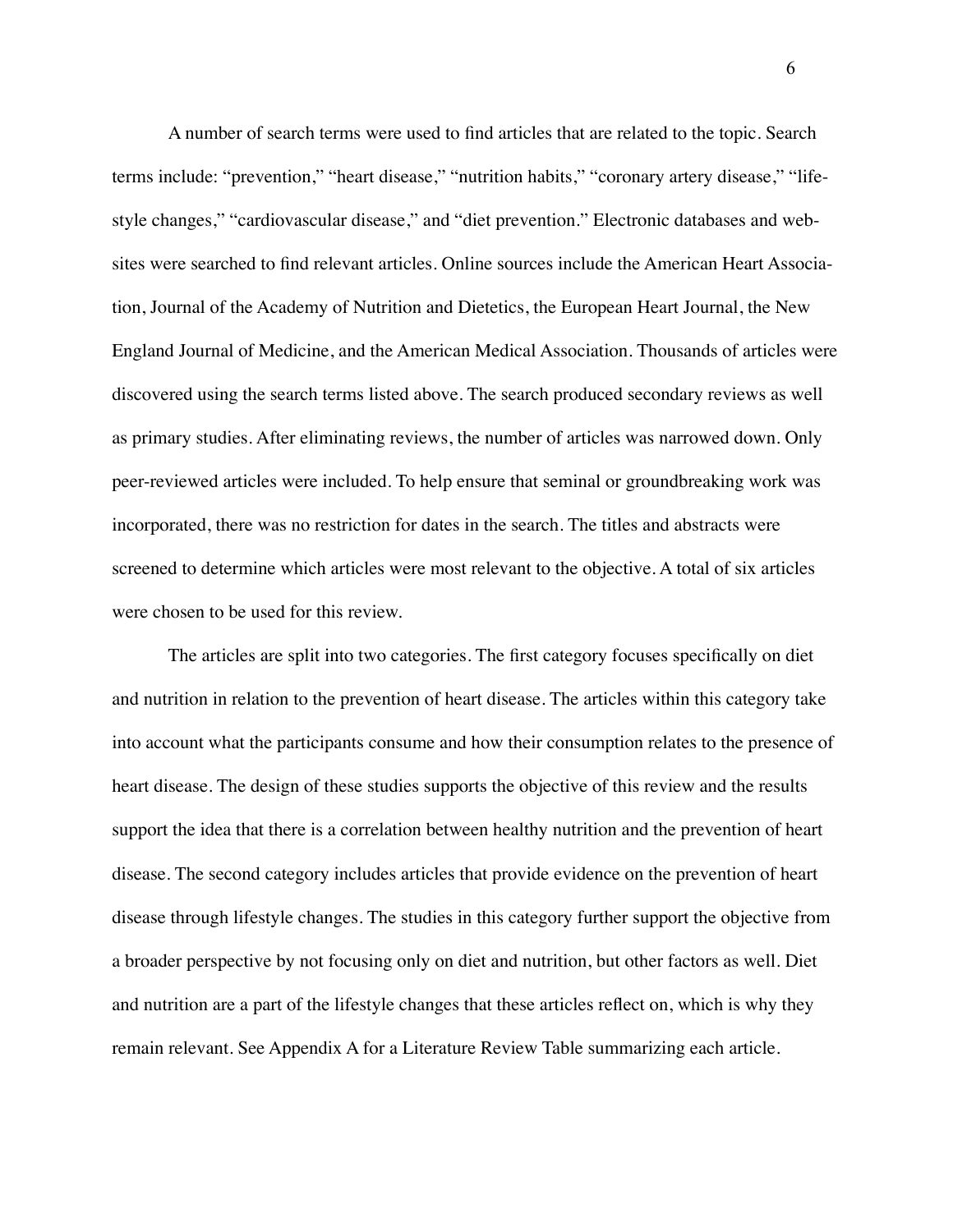A number of search terms were used to find articles that are related to the topic. Search terms include: "prevention," "heart disease," "nutrition habits," "coronary artery disease," "lifestyle changes," "cardiovascular disease," and "diet prevention." Electronic databases and websites were searched to find relevant articles. Online sources include the American Heart Association, Journal of the Academy of Nutrition and Dietetics, the European Heart Journal, the New England Journal of Medicine, and the American Medical Association. Thousands of articles were discovered using the search terms listed above. The search produced secondary reviews as well as primary studies. After eliminating reviews, the number of articles was narrowed down. Only peer-reviewed articles were included. To help ensure that seminal or groundbreaking work was incorporated, there was no restriction for dates in the search. The titles and abstracts were screened to determine which articles were most relevant to the objective. A total of six articles were chosen to be used for this review.

The articles are split into two categories. The first category focuses specifically on diet and nutrition in relation to the prevention of heart disease. The articles within this category take into account what the participants consume and how their consumption relates to the presence of heart disease. The design of these studies supports the objective of this review and the results support the idea that there is a correlation between healthy nutrition and the prevention of heart disease. The second category includes articles that provide evidence on the prevention of heart disease through lifestyle changes. The studies in this category further support the objective from a broader perspective by not focusing only on diet and nutrition, but other factors as well. Diet and nutrition are a part of the lifestyle changes that these articles reflect on, which is why they remain relevant. See Appendix A for a Literature Review Table summarizing each article.

 $\sim$  600  $\sim$  600  $\sim$  600  $\sim$  600  $\sim$  600  $\sim$  600  $\sim$  600  $\sim$  600  $\sim$  600  $\sim$  600  $\sim$  600  $\sim$  600  $\sim$  600  $\sim$  600  $\sim$  600  $\sim$  600  $\sim$  600  $\sim$  600  $\sim$  600  $\sim$  600  $\sim$  600  $\sim$  600  $\sim$  600  $\sim$  600  $\sim$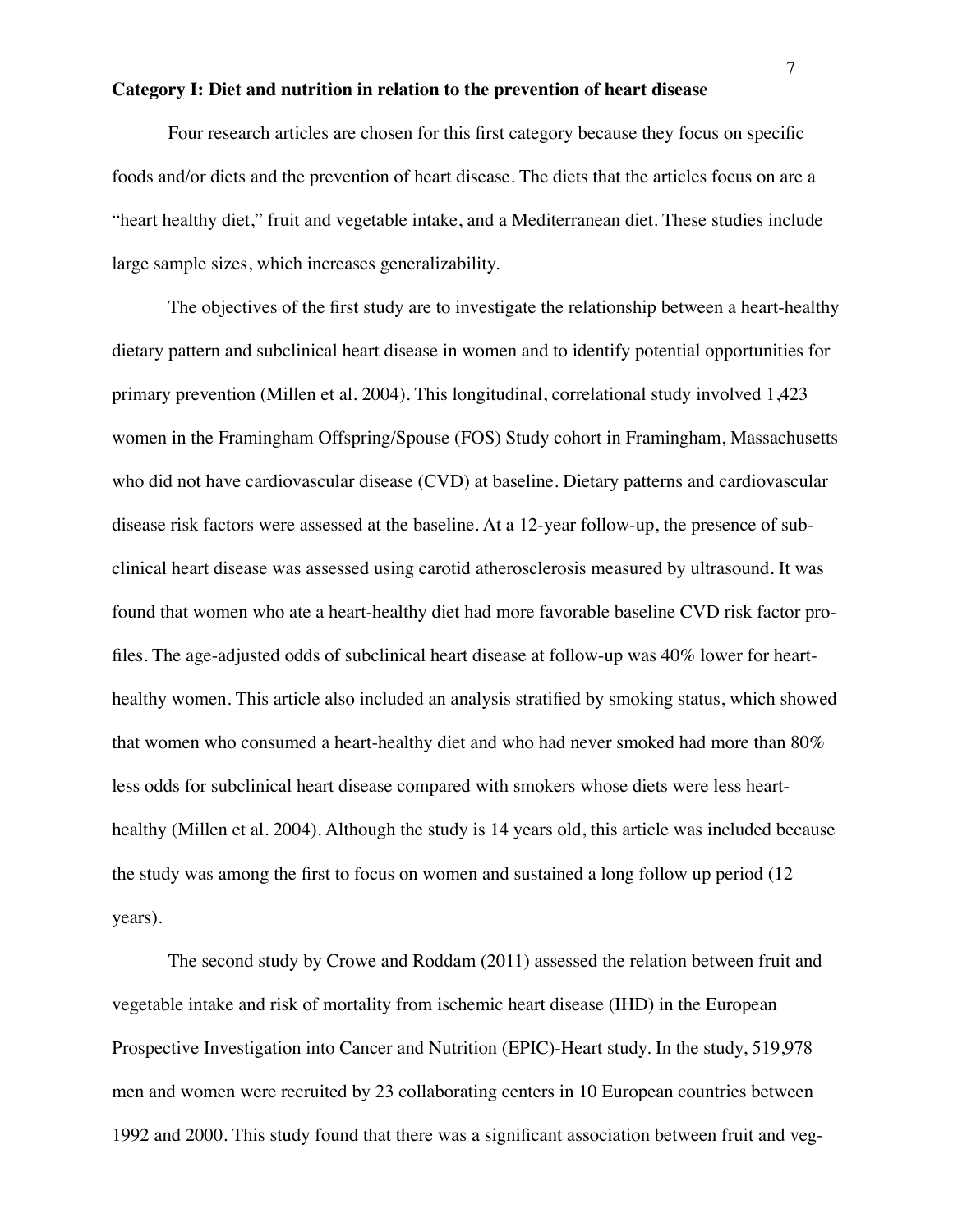#### **Category I: Diet and nutrition in relation to the prevention of heart disease**

Four research articles are chosen for this first category because they focus on specific foods and/or diets and the prevention of heart disease. The diets that the articles focus on are a "heart healthy diet," fruit and vegetable intake, and a Mediterranean diet. These studies include large sample sizes, which increases generalizability.

The objectives of the first study are to investigate the relationship between a heart-healthy dietary pattern and subclinical heart disease in women and to identify potential opportunities for primary prevention (Millen et al. 2004). This longitudinal, correlational study involved 1,423 women in the Framingham Offspring/Spouse (FOS) Study cohort in Framingham, Massachusetts who did not have cardiovascular disease (CVD) at baseline. Dietary patterns and cardiovascular disease risk factors were assessed at the baseline. At a 12-year follow-up, the presence of subclinical heart disease was assessed using carotid atherosclerosis measured by ultrasound. It was found that women who ate a heart-healthy diet had more favorable baseline CVD risk factor profiles. The age-adjusted odds of subclinical heart disease at follow-up was 40% lower for hearthealthy women. This article also included an analysis stratified by smoking status, which showed that women who consumed a heart-healthy diet and who had never smoked had more than 80% less odds for subclinical heart disease compared with smokers whose diets were less hearthealthy (Millen et al. 2004). Although the study is 14 years old, this article was included because the study was among the first to focus on women and sustained a long follow up period (12 years).

The second study by Crowe and Roddam (2011) assessed the relation between fruit and vegetable intake and risk of mortality from ischemic heart disease (IHD) in the European Prospective Investigation into Cancer and Nutrition (EPIC)-Heart study. In the study, 519,978 men and women were recruited by 23 collaborating centers in 10 European countries between 1992 and 2000. This study found that there was a significant association between fruit and veg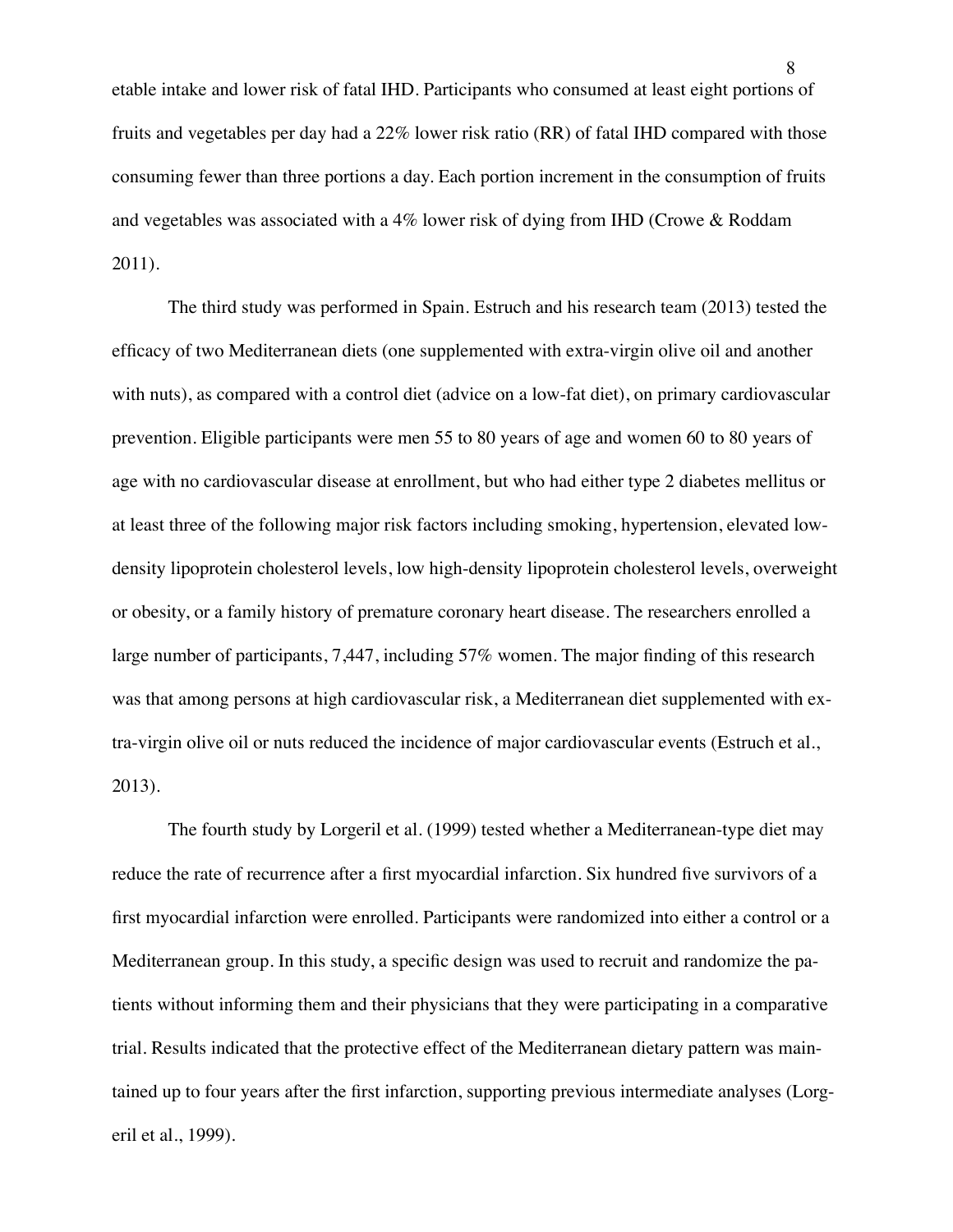etable intake and lower risk of fatal IHD. Participants who consumed at least eight portions of fruits and vegetables per day had a 22% lower risk ratio (RR) of fatal IHD compared with those consuming fewer than three portions a day. Each portion increment in the consumption of fruits and vegetables was associated with a 4% lower risk of dying from IHD (Crowe & Roddam 2011).

The third study was performed in Spain. Estruch and his research team (2013) tested the efficacy of two Mediterranean diets (one supplemented with extra-virgin olive oil and another with nuts), as compared with a control diet (advice on a low-fat diet), on primary cardiovascular prevention. Eligible participants were men 55 to 80 years of age and women 60 to 80 years of age with no cardiovascular disease at enrollment, but who had either type 2 diabetes mellitus or at least three of the following major risk factors including smoking, hypertension, elevated lowdensity lipoprotein cholesterol levels, low high-density lipoprotein cholesterol levels, overweight or obesity, or a family history of premature coronary heart disease. The researchers enrolled a large number of participants, 7,447, including 57% women. The major finding of this research was that among persons at high cardiovascular risk, a Mediterranean diet supplemented with extra-virgin olive oil or nuts reduced the incidence of major cardiovascular events (Estruch et al., 2013).

The fourth study by Lorgeril et al. (1999) tested whether a Mediterranean-type diet may reduce the rate of recurrence after a first myocardial infarction. Six hundred five survivors of a first myocardial infarction were enrolled. Participants were randomized into either a control or a Mediterranean group. In this study, a specific design was used to recruit and randomize the patients without informing them and their physicians that they were participating in a comparative trial. Results indicated that the protective effect of the Mediterranean dietary pattern was maintained up to four years after the first infarction, supporting previous intermediate analyses (Lorgeril et al., 1999).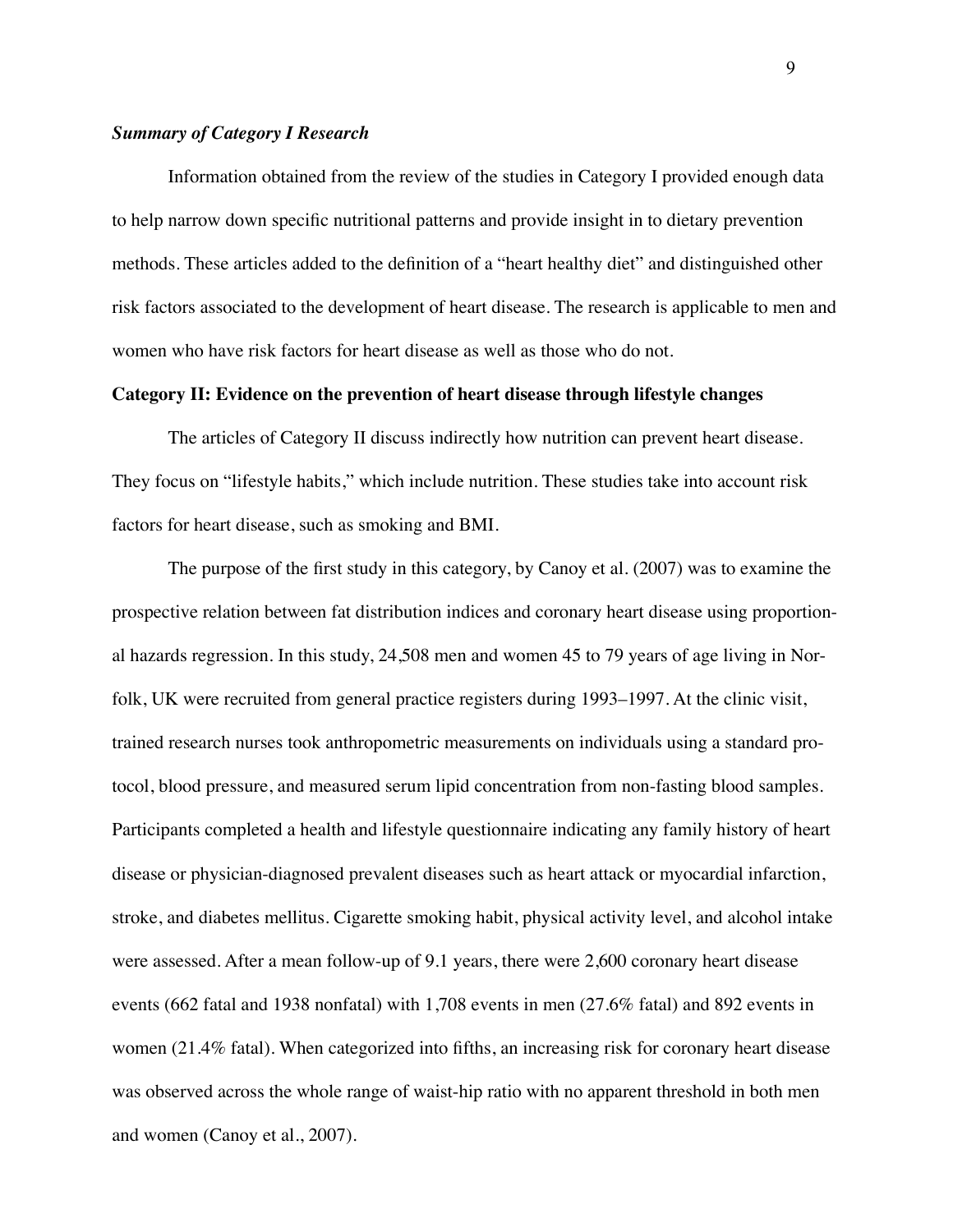#### *Summary of Category I Research*

Information obtained from the review of the studies in Category I provided enough data to help narrow down specific nutritional patterns and provide insight in to dietary prevention methods. These articles added to the definition of a "heart healthy diet" and distinguished other risk factors associated to the development of heart disease. The research is applicable to men and women who have risk factors for heart disease as well as those who do not.

#### **Category II: Evidence on the prevention of heart disease through lifestyle changes**

The articles of Category II discuss indirectly how nutrition can prevent heart disease. They focus on "lifestyle habits," which include nutrition. These studies take into account risk factors for heart disease, such as smoking and BMI.

The purpose of the first study in this category, by Canoy et al. (2007) was to examine the prospective relation between fat distribution indices and coronary heart disease using proportional hazards regression. In this study, 24,508 men and women 45 to 79 years of age living in Norfolk, UK were recruited from general practice registers during 1993–1997. At the clinic visit, trained research nurses took anthropometric measurements on individuals using a standard protocol, blood pressure, and measured serum lipid concentration from non-fasting blood samples. Participants completed a health and lifestyle questionnaire indicating any family history of heart disease or physician-diagnosed prevalent diseases such as heart attack or myocardial infarction, stroke, and diabetes mellitus. Cigarette smoking habit, physical activity level, and alcohol intake were assessed. After a mean follow-up of 9.1 years, there were 2,600 coronary heart disease events (662 fatal and 1938 nonfatal) with 1,708 events in men (27.6% fatal) and 892 events in women (21.4% fatal). When categorized into fifths, an increasing risk for coronary heart disease was observed across the whole range of waist-hip ratio with no apparent threshold in both men and women (Canoy et al., 2007).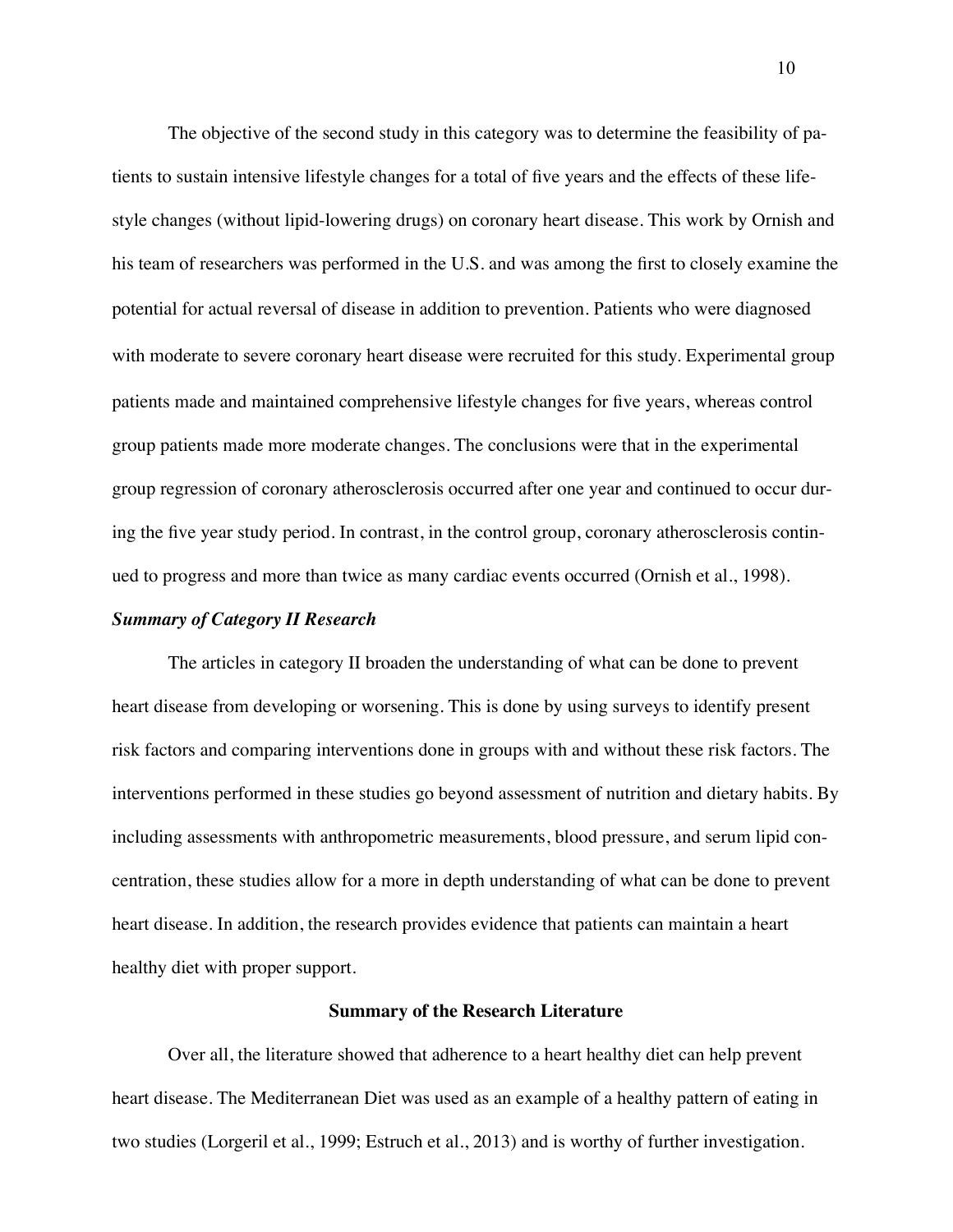The objective of the second study in this category was to determine the feasibility of patients to sustain intensive lifestyle changes for a total of five years and the effects of these lifestyle changes (without lipid-lowering drugs) on coronary heart disease. This work by Ornish and his team of researchers was performed in the U.S. and was among the first to closely examine the potential for actual reversal of disease in addition to prevention. Patients who were diagnosed with moderate to severe coronary heart disease were recruited for this study. Experimental group patients made and maintained comprehensive lifestyle changes for five years, whereas control group patients made more moderate changes. The conclusions were that in the experimental group regression of coronary atherosclerosis occurred after one year and continued to occur during the five year study period. In contrast, in the control group, coronary atherosclerosis continued to progress and more than twice as many cardiac events occurred (Ornish et al., 1998).

#### *Summary of Category II Research*

The articles in category II broaden the understanding of what can be done to prevent heart disease from developing or worsening. This is done by using surveys to identify present risk factors and comparing interventions done in groups with and without these risk factors. The interventions performed in these studies go beyond assessment of nutrition and dietary habits. By including assessments with anthropometric measurements, blood pressure, and serum lipid concentration, these studies allow for a more in depth understanding of what can be done to prevent heart disease. In addition, the research provides evidence that patients can maintain a heart healthy diet with proper support.

#### **Summary of the Research Literature**

Over all, the literature showed that adherence to a heart healthy diet can help prevent heart disease. The Mediterranean Diet was used as an example of a healthy pattern of eating in two studies (Lorgeril et al., 1999; Estruch et al., 2013) and is worthy of further investigation.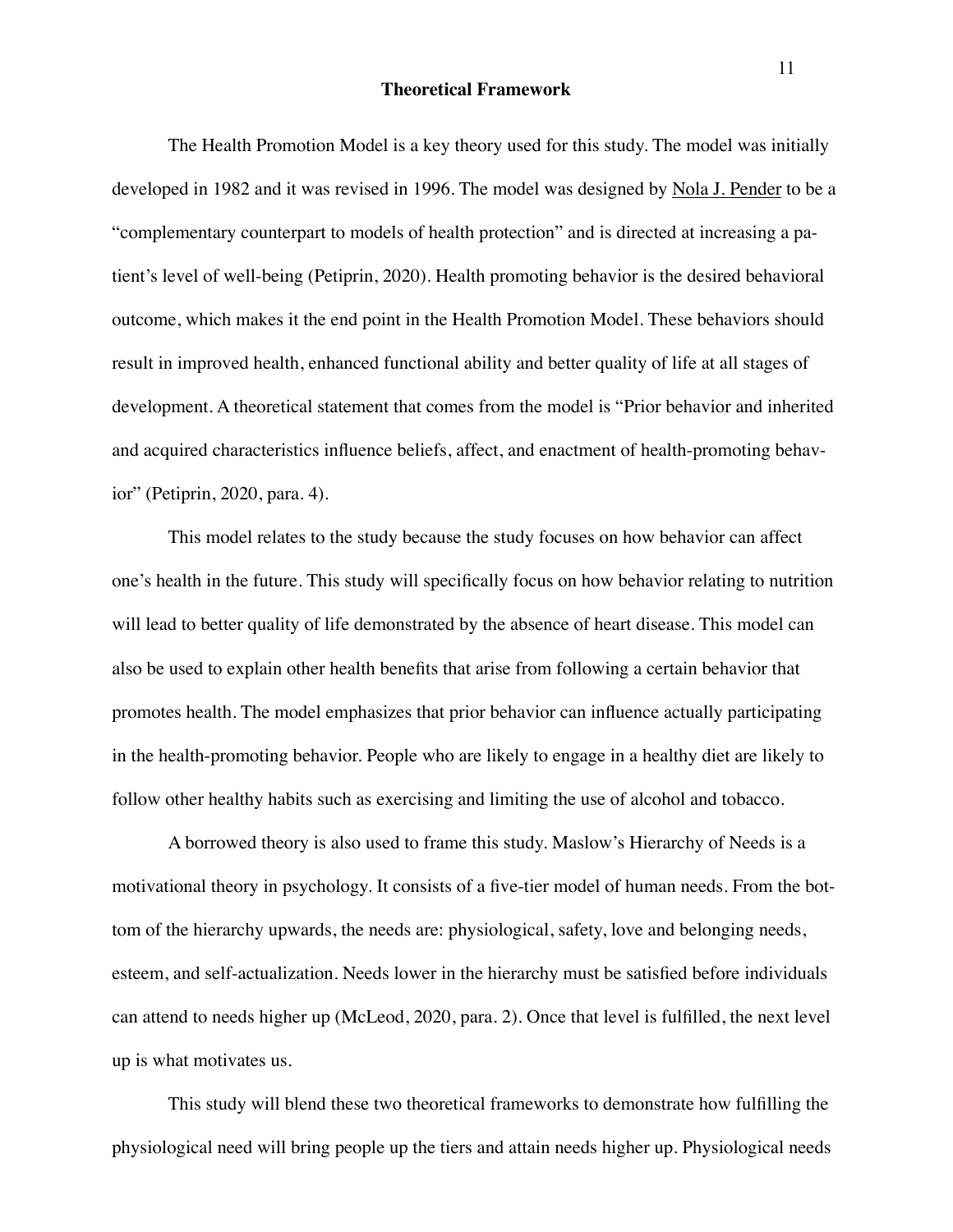#### **Theoretical Framework**

The Health Promotion Model is a key theory used for this study. The model was initially developed in 1982 and it was revised in 1996. The model was designed by [Nola J. Pender](https://nursing-theory.org/nursing-theorists/Nola-Pender.php) to be a "complementary counterpart to models of health protection" and is directed at increasing a patient's level of well-being (Petiprin, 2020). Health promoting behavior is the desired behavioral outcome, which makes it the end point in the Health Promotion Model. These behaviors should result in improved health, enhanced functional ability and better quality of life at all stages of development. A theoretical statement that comes from the model is "Prior behavior and inherited and acquired characteristics influence beliefs, affect, and enactment of health-promoting behavior" (Petiprin, 2020, para. 4).

This model relates to the study because the study focuses on how behavior can affect one's health in the future. This study will specifically focus on how behavior relating to nutrition will lead to better quality of life demonstrated by the absence of heart disease. This model can also be used to explain other health benefits that arise from following a certain behavior that promotes health. The model emphasizes that prior behavior can influence actually participating in the health-promoting behavior. People who are likely to engage in a healthy diet are likely to follow other healthy habits such as exercising and limiting the use of alcohol and tobacco.

A borrowed theory is also used to frame this study. Maslow's Hierarchy of Needs is a motivational theory in psychology. It consists of a five-tier model of human needs. From the bottom of the hierarchy upwards, the needs are: physiological, safety, love and belonging needs, esteem, and self-actualization. Needs lower in the hierarchy must be satisfied before individuals can attend to needs higher up (McLeod, 2020, para. 2). Once that level is fulfilled, the next level up is what motivates us.

This study will blend these two theoretical frameworks to demonstrate how fulfilling the physiological need will bring people up the tiers and attain needs higher up. Physiological needs

<u>11 September 2001 - September 2001 - September 2001 - September 2001 - September 2001 - September 2001 - September 2001 - September 2001 - September 2001 - September 2001 - September 2001 - September 2001 - September 2001</u>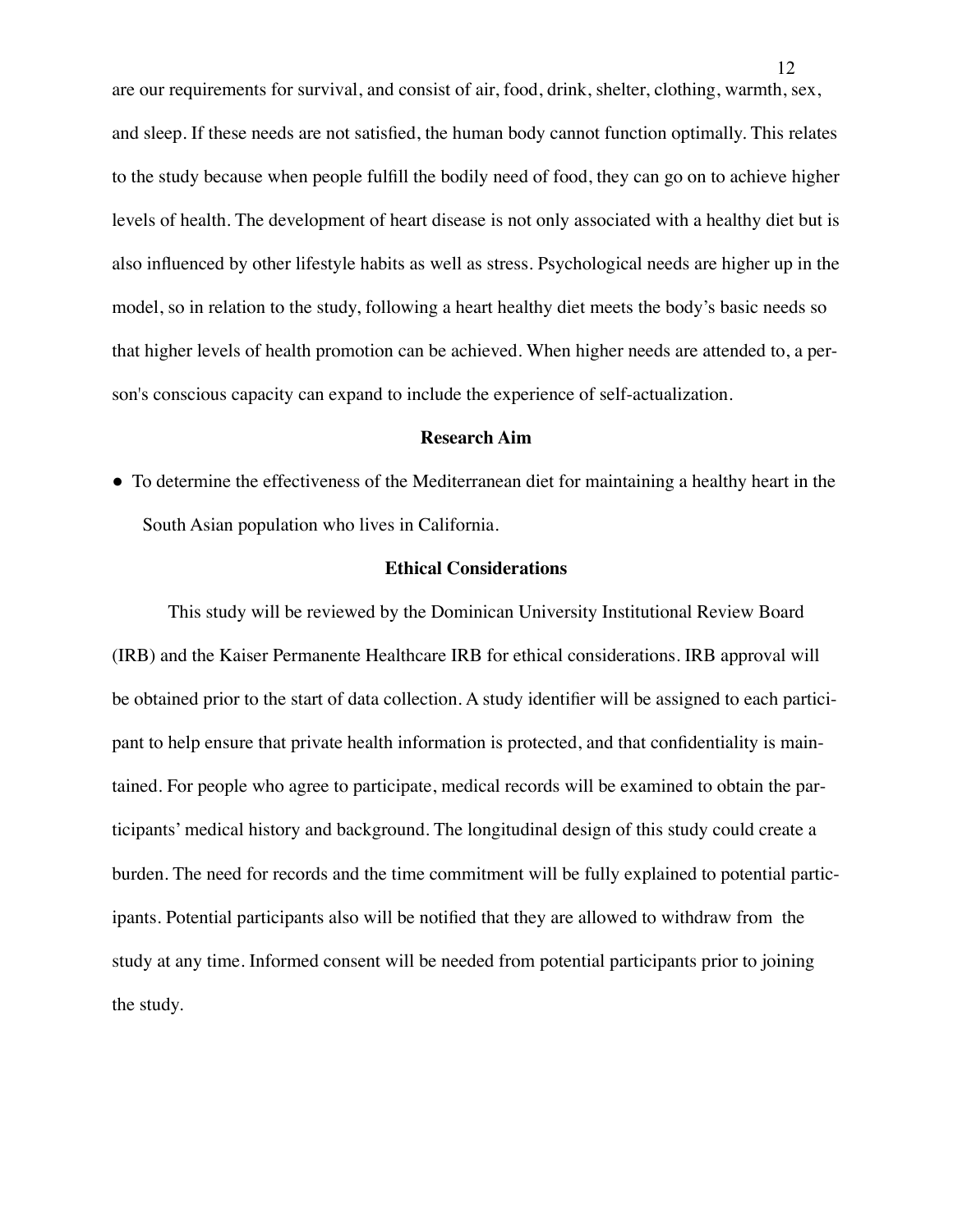are our requirements for survival, and consist of air, food, drink, shelter, clothing, warmth, sex, and sleep. If these needs are not satisfied, the human body cannot function optimally. This relates to the study because when people fulfill the bodily need of food, they can go on to achieve higher levels of health. The development of heart disease is not only associated with a healthy diet but is also influenced by other lifestyle habits as well as stress. Psychological needs are higher up in the model, so in relation to the study, following a heart healthy diet meets the body's basic needs so that higher levels of health promotion can be achieved. When higher needs are attended to, a person's conscious capacity can expand to include the experience of self-actualization.

#### **Research Aim**

! To determine the effectiveness of the Mediterranean diet for maintaining a healthy heart in the South Asian population who lives in California.

#### **Ethical Considerations**

This study will be reviewed by the Dominican University Institutional Review Board (IRB) and the Kaiser Permanente Healthcare IRB for ethical considerations. IRB approval will be obtained prior to the start of data collection. A study identifier will be assigned to each participant to help ensure that private health information is protected, and that confidentiality is maintained. For people who agree to participate, medical records will be examined to obtain the participants' medical history and background. The longitudinal design of this study could create a burden. The need for records and the time commitment will be fully explained to potential participants. Potential participants also will be notified that they are allowed to withdraw from the study at any time. Informed consent will be needed from potential participants prior to joining the study.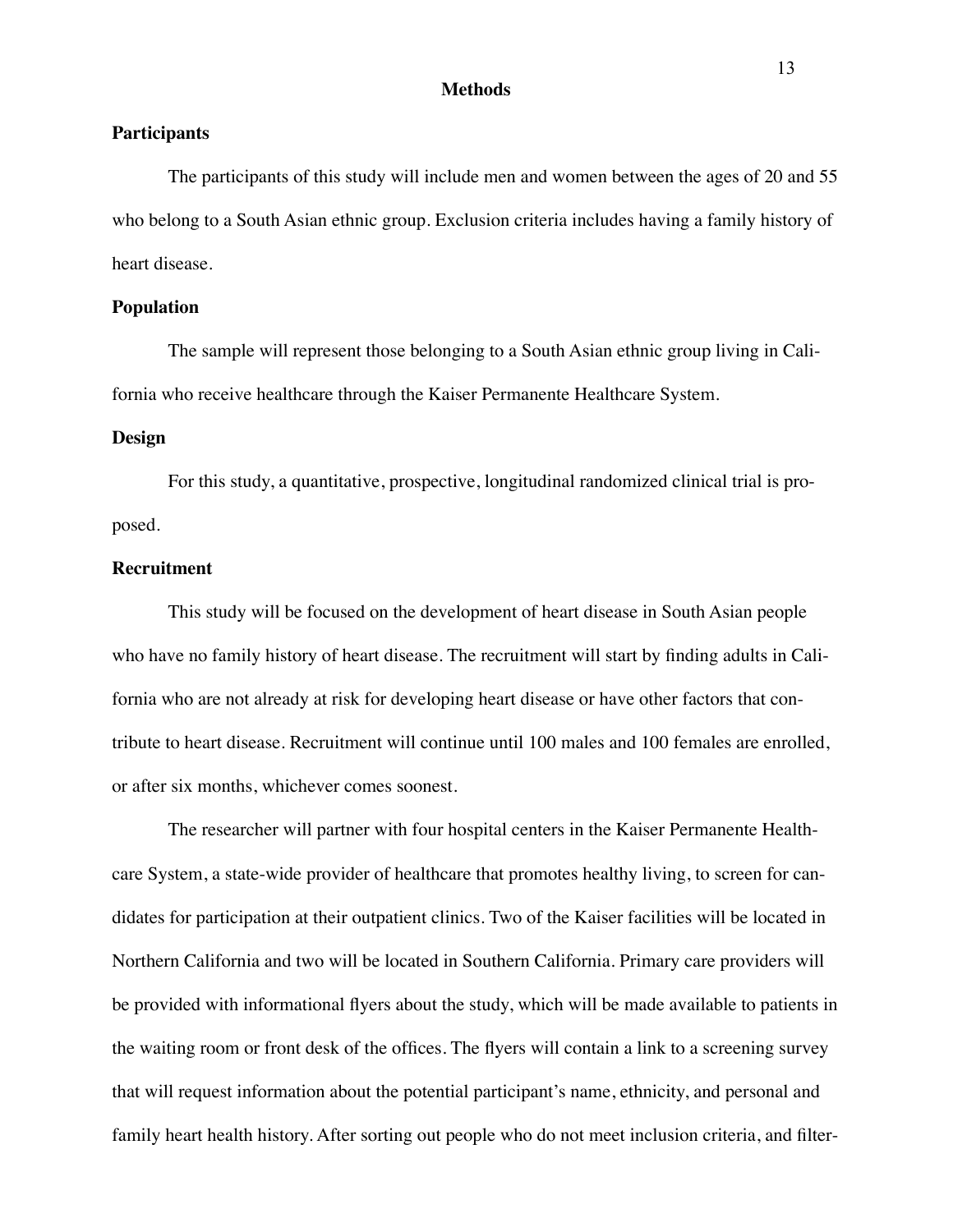#### **Methods**

#### **Participants**

The participants of this study will include men and women between the ages of 20 and 55 who belong to a South Asian ethnic group. Exclusion criteria includes having a family history of heart disease.

#### **Population**

The sample will represent those belonging to a South Asian ethnic group living in California who receive healthcare through the Kaiser Permanente Healthcare System.

#### **Design**

For this study, a quantitative, prospective, longitudinal randomized clinical trial is proposed.

#### **Recruitment**

This study will be focused on the development of heart disease in South Asian people who have no family history of heart disease. The recruitment will start by finding adults in California who are not already at risk for developing heart disease or have other factors that contribute to heart disease. Recruitment will continue until 100 males and 100 females are enrolled, or after six months, whichever comes soonest.

The researcher will partner with four hospital centers in the Kaiser Permanente Healthcare System, a state-wide provider of healthcare that promotes healthy living, to screen for candidates for participation at their outpatient clinics. Two of the Kaiser facilities will be located in Northern California and two will be located in Southern California. Primary care providers will be provided with informational flyers about the study, which will be made available to patients in the waiting room or front desk of the offices. The flyers will contain a link to a screening survey that will request information about the potential participant's name, ethnicity, and personal and family heart health history. After sorting out people who do not meet inclusion criteria, and filter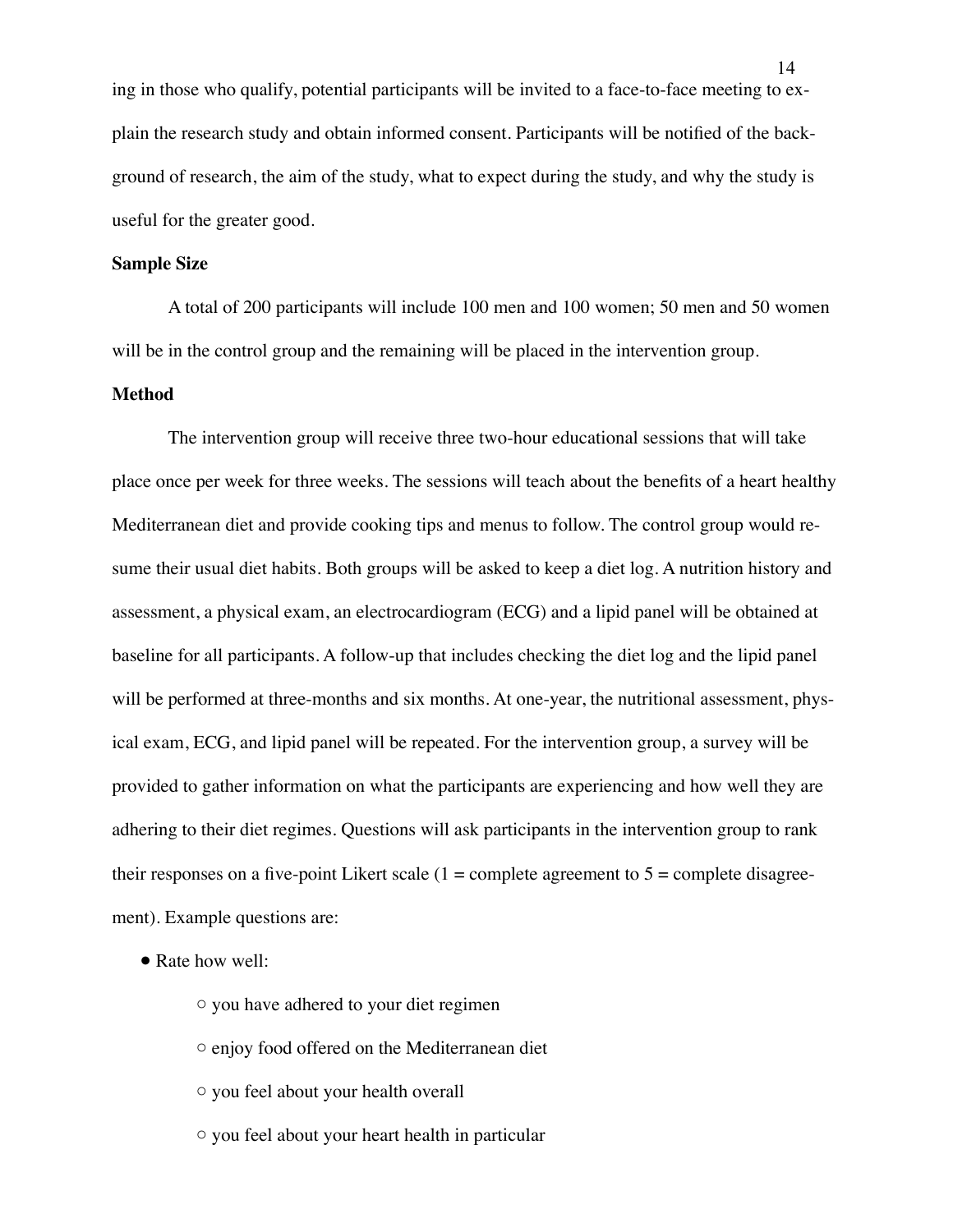ing in those who qualify, potential participants will be invited to a face-to-face meeting to explain the research study and obtain informed consent. Participants will be notified of the background of research, the aim of the study, what to expect during the study, and why the study is useful for the greater good.

#### **Sample Size**

A total of 200 participants will include 100 men and 100 women; 50 men and 50 women will be in the control group and the remaining will be placed in the intervention group.

#### **Method**

The intervention group will receive three two-hour educational sessions that will take place once per week for three weeks. The sessions will teach about the benefits of a heart healthy Mediterranean diet and provide cooking tips and menus to follow. The control group would resume their usual diet habits. Both groups will be asked to keep a diet log. A nutrition history and assessment, a physical exam, an electrocardiogram (ECG) and a lipid panel will be obtained at baseline for all participants. A follow-up that includes checking the diet log and the lipid panel will be performed at three-months and six months. At one-year, the nutritional assessment, physical exam, ECG, and lipid panel will be repeated. For the intervention group, a survey will be provided to gather information on what the participants are experiencing and how well they are adhering to their diet regimes. Questions will ask participants in the intervention group to rank their responses on a five-point Likert scale  $(1 =$  complete agreement to  $5 =$  complete disagreement). Example questions are:

- Rate how well:
	- $\circ$  you have adhered to your diet regimen
	- $\circ$  enjoy food offered on the Mediterranean diet
	- $\circ$  you feel about your health overall
	- $\circ$  you feel about your heart health in particular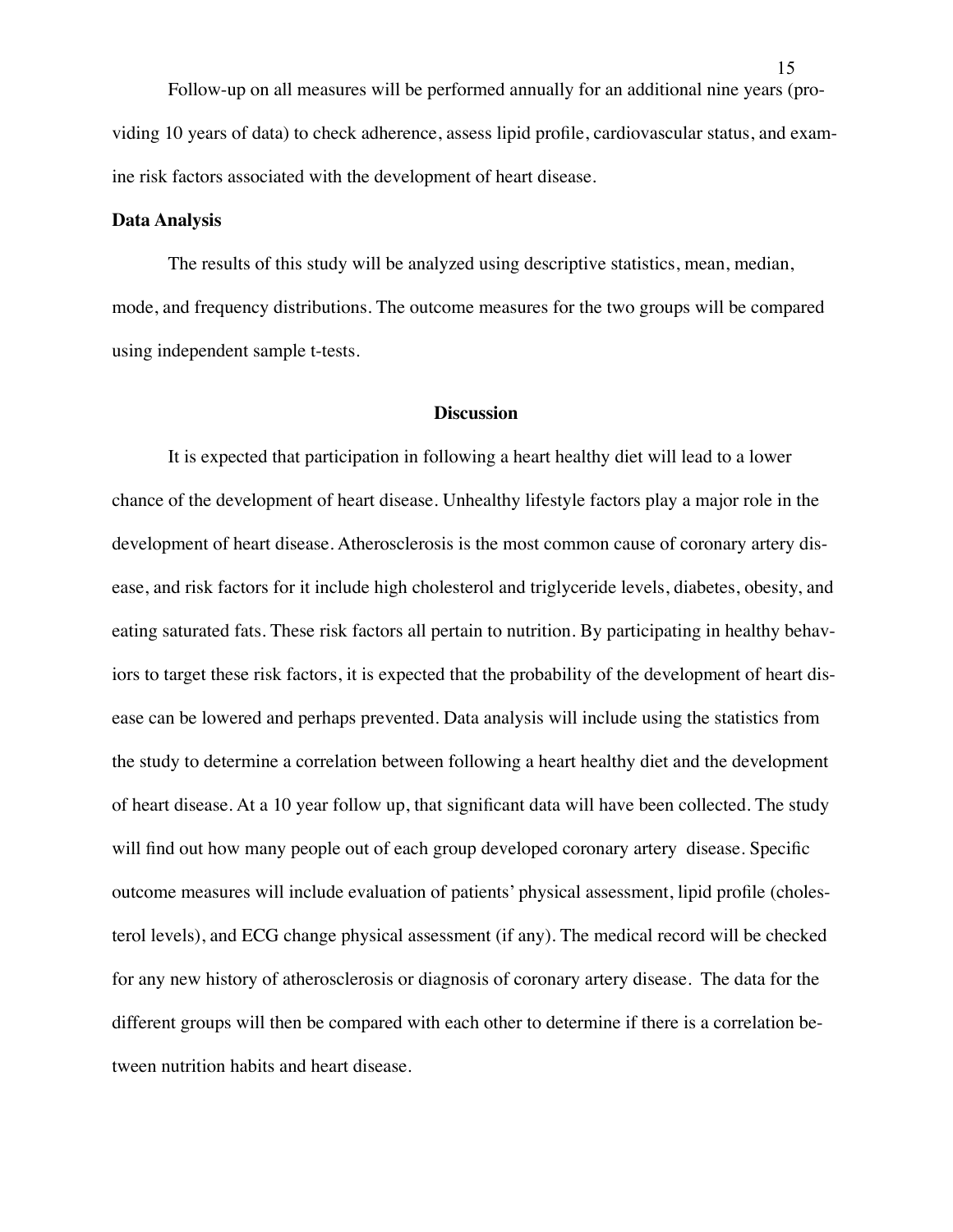Follow-up on all measures will be performed annually for an additional nine years (providing 10 years of data) to check adherence, assess lipid profile, cardiovascular status, and examine risk factors associated with the development of heart disease.

#### **Data Analysis**

The results of this study will be analyzed using descriptive statistics, mean, median, mode, and frequency distributions. The outcome measures for the two groups will be compared using independent sample t-tests.

#### **Discussion**

It is expected that participation in following a heart healthy diet will lead to a lower chance of the development of heart disease. Unhealthy lifestyle factors play a major role in the development of heart disease. Atherosclerosis is the most common cause of coronary artery disease, and risk factors for it include high cholesterol and triglyceride levels, diabetes, obesity, and eating saturated fats. These risk factors all pertain to nutrition. By participating in healthy behaviors to target these risk factors, it is expected that the probability of the development of heart disease can be lowered and perhaps prevented. Data analysis will include using the statistics from the study to determine a correlation between following a heart healthy diet and the development of heart disease. At a 10 year follow up, that significant data will have been collected. The study will find out how many people out of each group developed coronary artery disease. Specific outcome measures will include evaluation of patients' physical assessment, lipid profile (cholesterol levels), and ECG change physical assessment (if any). The medical record will be checked for any new history of atherosclerosis or diagnosis of coronary artery disease. The data for the different groups will then be compared with each other to determine if there is a correlation between nutrition habits and heart disease.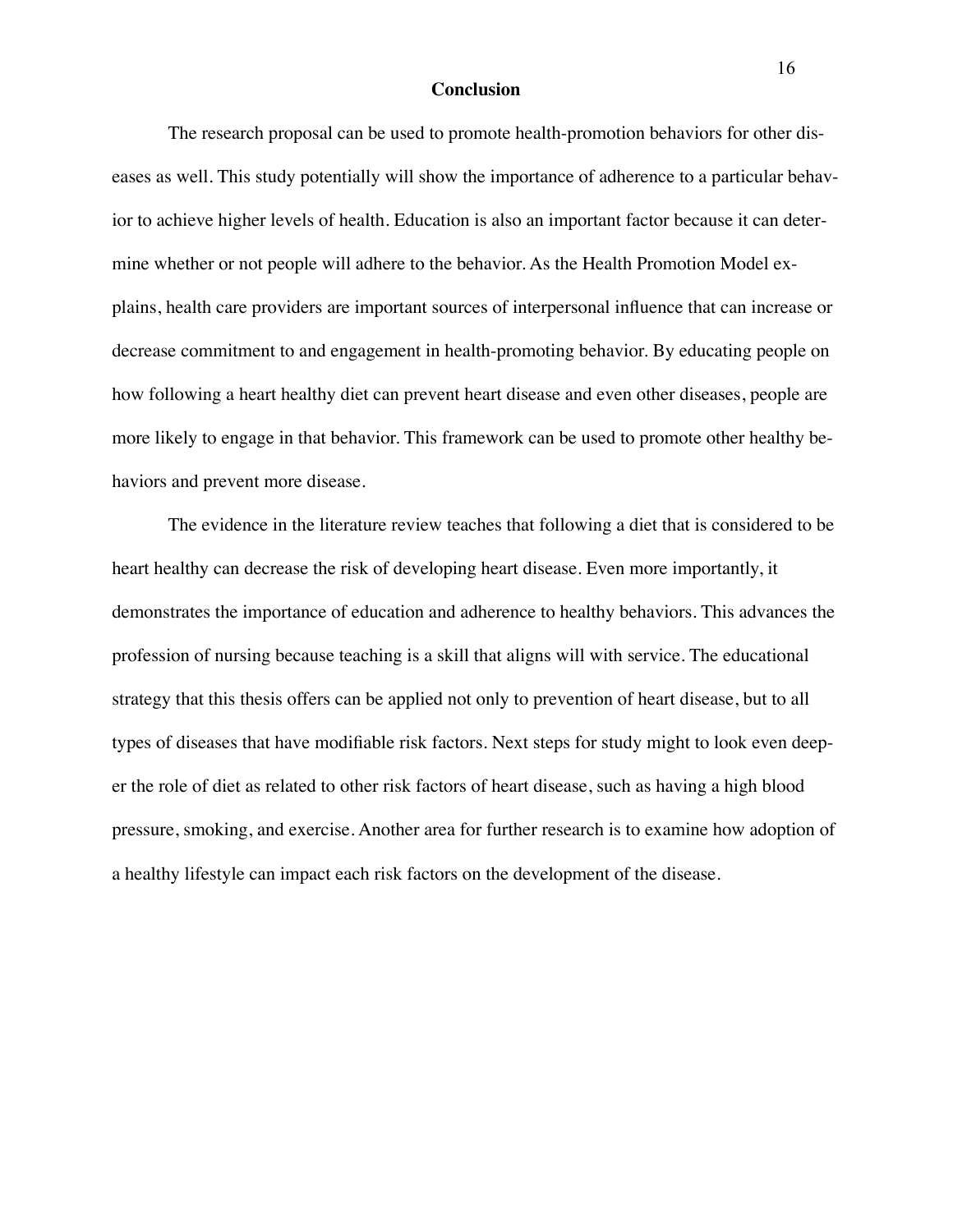#### **Conclusion**

The research proposal can be used to promote health-promotion behaviors for other diseases as well. This study potentially will show the importance of adherence to a particular behavior to achieve higher levels of health. Education is also an important factor because it can determine whether or not people will adhere to the behavior. As the Health Promotion Model explains, health care providers are important sources of interpersonal influence that can increase or decrease commitment to and engagement in health-promoting behavior. By educating people on how following a heart healthy diet can prevent heart disease and even other diseases, people are more likely to engage in that behavior. This framework can be used to promote other healthy behaviors and prevent more disease.

The evidence in the literature review teaches that following a diet that is considered to be heart healthy can decrease the risk of developing heart disease. Even more importantly, it demonstrates the importance of education and adherence to healthy behaviors. This advances the profession of nursing because teaching is a skill that aligns will with service. The educational strategy that this thesis offers can be applied not only to prevention of heart disease, but to all types of diseases that have modifiable risk factors. Next steps for study might to look even deeper the role of diet as related to other risk factors of heart disease, such as having a high blood pressure, smoking, and exercise. Another area for further research is to examine how adoption of a healthy lifestyle can impact each risk factors on the development of the disease.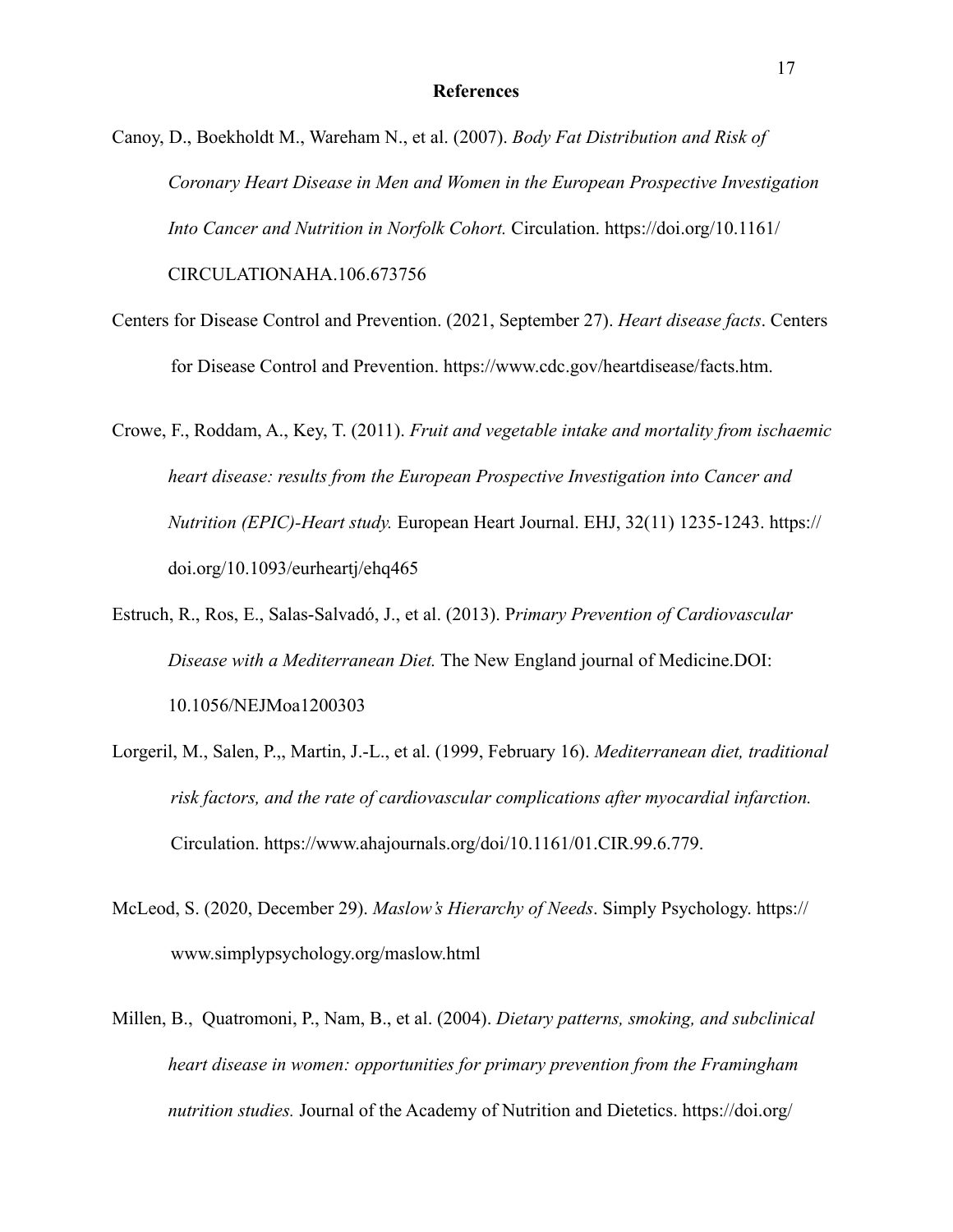Canoy, D., Boekholdt M., Wareham N., et al. (2007). *Body Fat Distribution and Risk of Coronary Heart Disease in Men and Women in the European Prospective Investigation Into Cancer and Nutrition in Norfolk Cohort.* Circulation. https://doi.org/10.1161/ CIRCULATIONAHA.106.673756

- Centers for Disease Control and Prevention. (2021, September 27). *Heart disease facts*. Centers for Disease Control and Prevention. https://www.cdc.gov/heartdisease/facts.htm.
- Crowe, F., Roddam, A., Key, T. (2011). *Fruit and vegetable intake and mortality from ischaemic heart disease: results from the European Prospective Investigation into Cancer and Nutrition (EPIC)-Heart study.* European Heart Journal. EHJ, 32(11) 1235-1243. https:// doi.org/10.1093/eurheartj/ehq465
- Estruch, R., Ros, E., Salas-Salvadó, J., et al. (2013). P*rimary Prevention of Cardiovascular Disease with a Mediterranean Diet.* The New England journal of Medicine.DOI: 10.1056/NEJMoa1200303
- Lorgeril, M., Salen, P.,, Martin, J.-L., et al. (1999, February 16). *Mediterranean diet, traditional risk factors, and the rate of cardiovascular complications after myocardial infarction.* Circulation. https://www.ahajournals.org/doi/10.1161/01.CIR.99.6.779.
- McLeod, S. (2020, December 29). *Maslow's Hierarchy of Needs*. Simply Psychology. https:// www.simplypsychology.org/maslow.html
- Millen, B., Quatromoni, P., Nam, B., et al. (2004). *Dietary patterns, smoking, and subclinical heart disease in women: opportunities for primary prevention from the Framingham nutrition studies.* Journal of the Academy of Nutrition and Dietetics. https://doi.org/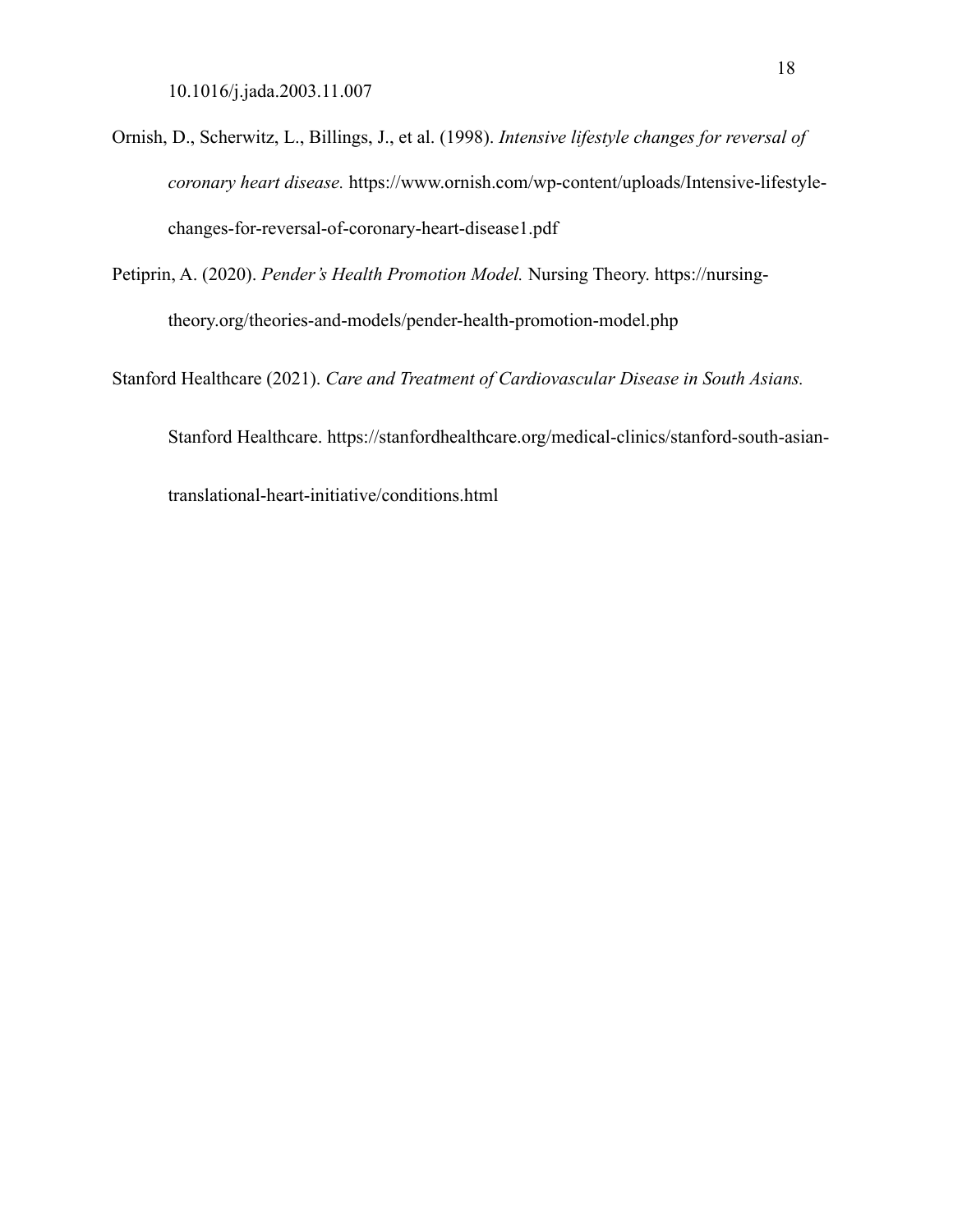- Ornish, D., Scherwitz, L., Billings, J., et al. (1998). *Intensive lifestyle changes for reversal of coronary heart disease.* https://www.ornish.com/wp-content/uploads/Intensive-lifestyle changes-for-reversal-of-coronary-heart-disease1.pdf
- Petiprin, A. (2020). *Pender's Health Promotion Model.* Nursing Theory. https://nursing theory.org/theories-and-models/pender-health-promotion-model.php

Stanford Healthcare (2021). *Care and Treatment of Cardiovascular Disease in South Asians.*  Stanford Healthcare. https://stanfordhealthcare.org/medical-clinics/stanford-south-asian translational-heart-initiative/conditions.html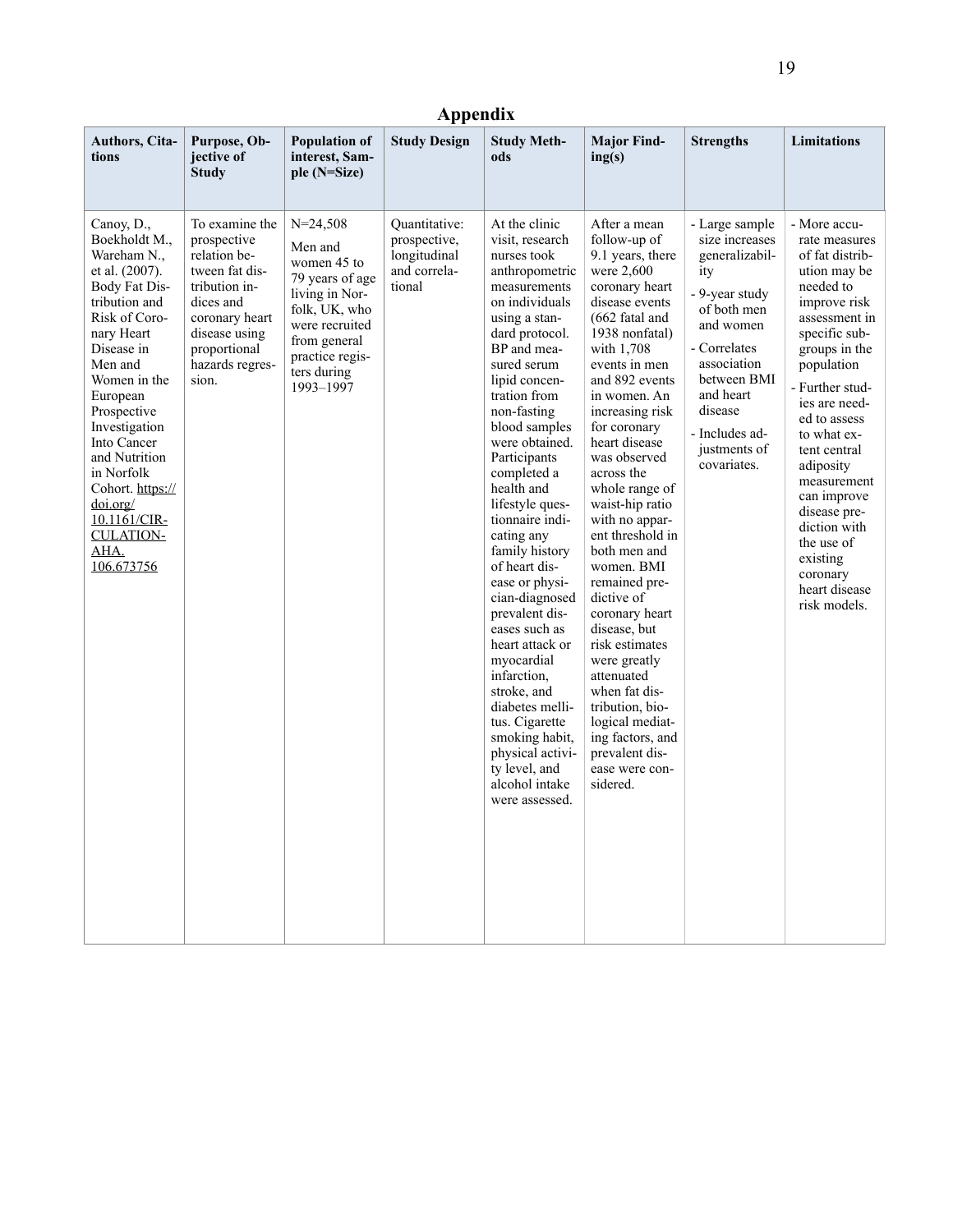# **Appendix**

| Authors, Cita-<br>tions                                                                                                                                                                                                                                                                                                                                    | Purpose, Ob-<br>jective of<br><b>Study</b>                                                                                                                                   | <b>Population of</b><br>interest, Sam-<br>ple (N=Size)                                                                                                                        | <b>Study Design</b>                                                     | <b>Study Meth-</b><br>ods                                                                                                                                                                                                                                                                                                                                                                                                                                                                                                                                                                                                                                         | <b>Major Find-</b><br>ing(s)                                                                                                                                                                                                                                                                                                                                                                                                                                                                                                                                                                                                                   | <b>Strengths</b>                                                                                                                                                                                                               | <b>Limitations</b>                                                                                                                                                                                                                                                                                                                                                                                  |
|------------------------------------------------------------------------------------------------------------------------------------------------------------------------------------------------------------------------------------------------------------------------------------------------------------------------------------------------------------|------------------------------------------------------------------------------------------------------------------------------------------------------------------------------|-------------------------------------------------------------------------------------------------------------------------------------------------------------------------------|-------------------------------------------------------------------------|-------------------------------------------------------------------------------------------------------------------------------------------------------------------------------------------------------------------------------------------------------------------------------------------------------------------------------------------------------------------------------------------------------------------------------------------------------------------------------------------------------------------------------------------------------------------------------------------------------------------------------------------------------------------|------------------------------------------------------------------------------------------------------------------------------------------------------------------------------------------------------------------------------------------------------------------------------------------------------------------------------------------------------------------------------------------------------------------------------------------------------------------------------------------------------------------------------------------------------------------------------------------------------------------------------------------------|--------------------------------------------------------------------------------------------------------------------------------------------------------------------------------------------------------------------------------|-----------------------------------------------------------------------------------------------------------------------------------------------------------------------------------------------------------------------------------------------------------------------------------------------------------------------------------------------------------------------------------------------------|
| Canoy, D.,<br>Boekholdt M.,<br>Wareham N.,<br>et al. (2007).<br>Body Fat Dis-<br>tribution and<br>Risk of Coro-<br>nary Heart<br>Disease in<br>Men and<br>Women in the<br>European<br>Prospective<br>Investigation<br>Into Cancer<br>and Nutrition<br>in Norfolk<br>Cohort. https://<br>doi.org/<br>10.1161/CIR-<br><b>CULATION-</b><br>AHA.<br>106.673756 | To examine the<br>prospective<br>relation be-<br>tween fat dis-<br>tribution in-<br>dices and<br>coronary heart<br>disease using<br>proportional<br>hazards regres-<br>sion. | $N = 24,508$<br>Men and<br>women 45 to<br>79 years of age<br>living in Nor-<br>folk, UK, who<br>were recruited<br>from general<br>practice regis-<br>ters during<br>1993-1997 | Quantitative:<br>prospective,<br>longitudinal<br>and correla-<br>tional | At the clinic<br>visit, research<br>nurses took<br>anthropometric<br>measurements<br>on individuals<br>using a stan-<br>dard protocol.<br>BP and mea-<br>sured serum<br>lipid concen-<br>tration from<br>non-fasting<br>blood samples<br>were obtained.<br>Participants<br>completed a<br>health and<br>lifestyle ques-<br>tionnaire indi-<br>cating any<br>family history<br>of heart dis-<br>ease or physi-<br>cian-diagnosed<br>prevalent dis-<br>eases such as<br>heart attack or<br>myocardial<br>infarction,<br>stroke, and<br>diabetes melli-<br>tus. Cigarette<br>smoking habit,<br>physical activi-<br>ty level, and<br>alcohol intake<br>were assessed. | After a mean<br>follow-up of<br>9.1 years, there<br>were 2,600<br>coronary heart<br>disease events<br>(662 fatal and<br>1938 nonfatal)<br>with 1,708<br>events in men<br>and 892 events<br>in women. An<br>increasing risk<br>for coronary<br>heart disease<br>was observed<br>across the<br>whole range of<br>waist-hip ratio<br>with no appar-<br>ent threshold in<br>both men and<br>women. BMI<br>remained pre-<br>dictive of<br>coronary heart<br>disease, but<br>risk estimates<br>were greatly<br>attenuated<br>when fat dis-<br>tribution, bio-<br>logical mediat-<br>ing factors, and<br>prevalent dis-<br>ease were con-<br>sidered. | - Large sample<br>size increases<br>generalizabil-<br>ity<br>- 9-year study<br>of both men<br>and women<br>- Correlates<br>association<br>between BMI<br>and heart<br>disease<br>- Includes ad-<br>justments of<br>covariates. | - More accu-<br>rate measures<br>of fat distrib-<br>ution may be<br>needed to<br>improve risk<br>assessment in<br>specific sub-<br>groups in the<br>population<br>- Further stud-<br>ies are need-<br>ed to assess<br>to what ex-<br>tent central<br>adiposity<br>measurement<br>can improve<br>disease pre-<br>diction with<br>the use of<br>existing<br>coronary<br>heart disease<br>risk models. |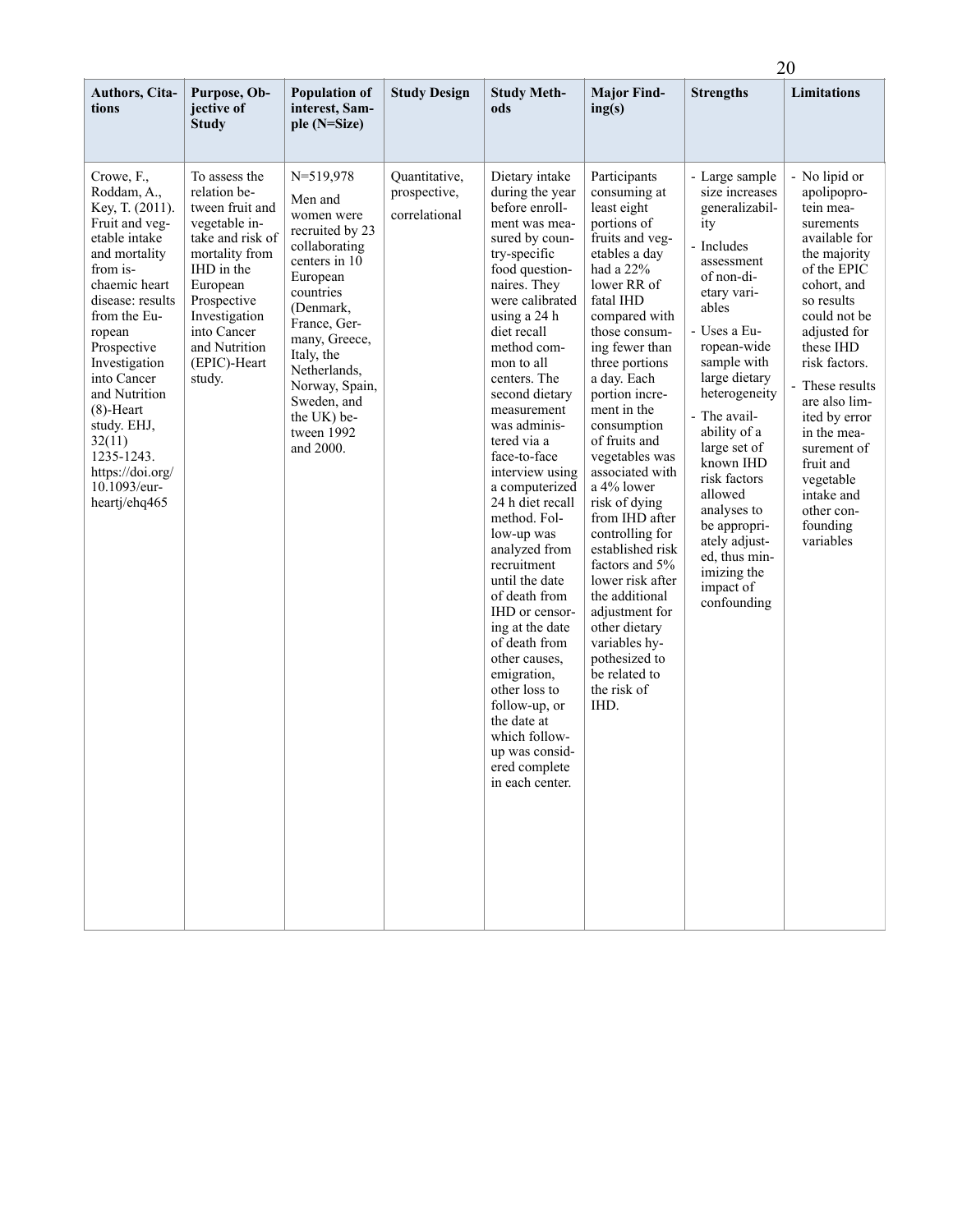|                                                                                                                                                                                                                                                                                                                                                         |                                                                                                                                                                                                                             |                                                                                                                                                                                                                                                                             |                                                |                                                                                                                                                                                                                                                                                                                                                                                                                                                                                                                                                                                                                                                                                                 |                                                                                                                                                                                                                                                                                                                                                                                                                                                                                                                                                                                                   | 20                                                                                                                                                                                                                                                                                                                                                                                                              |                                                                                                                                                                                                                                                                                                                                                                     |  |  |
|---------------------------------------------------------------------------------------------------------------------------------------------------------------------------------------------------------------------------------------------------------------------------------------------------------------------------------------------------------|-----------------------------------------------------------------------------------------------------------------------------------------------------------------------------------------------------------------------------|-----------------------------------------------------------------------------------------------------------------------------------------------------------------------------------------------------------------------------------------------------------------------------|------------------------------------------------|-------------------------------------------------------------------------------------------------------------------------------------------------------------------------------------------------------------------------------------------------------------------------------------------------------------------------------------------------------------------------------------------------------------------------------------------------------------------------------------------------------------------------------------------------------------------------------------------------------------------------------------------------------------------------------------------------|---------------------------------------------------------------------------------------------------------------------------------------------------------------------------------------------------------------------------------------------------------------------------------------------------------------------------------------------------------------------------------------------------------------------------------------------------------------------------------------------------------------------------------------------------------------------------------------------------|-----------------------------------------------------------------------------------------------------------------------------------------------------------------------------------------------------------------------------------------------------------------------------------------------------------------------------------------------------------------------------------------------------------------|---------------------------------------------------------------------------------------------------------------------------------------------------------------------------------------------------------------------------------------------------------------------------------------------------------------------------------------------------------------------|--|--|
| Authors, Cita-<br>tions                                                                                                                                                                                                                                                                                                                                 | Purpose, Ob-<br>jective of<br><b>Study</b>                                                                                                                                                                                  | <b>Population of</b><br>interest, Sam-<br>ple (N=Size)                                                                                                                                                                                                                      | <b>Study Design</b>                            | <b>Study Meth-</b><br>ods                                                                                                                                                                                                                                                                                                                                                                                                                                                                                                                                                                                                                                                                       | <b>Major Find-</b><br>ing(s)                                                                                                                                                                                                                                                                                                                                                                                                                                                                                                                                                                      | <b>Strengths</b>                                                                                                                                                                                                                                                                                                                                                                                                | <b>Limitations</b>                                                                                                                                                                                                                                                                                                                                                  |  |  |
| Crowe, F.,<br>Roddam, A.,<br>Key, T. (2011).<br>Fruit and veg-<br>etable intake<br>and mortality<br>from is-<br>chaemic heart<br>disease: results<br>from the Eu-<br>ropean<br>Prospective<br>Investigation<br>into Cancer<br>and Nutrition<br>$(8)$ -Heart<br>study. EHJ,<br>32(11)<br>1235-1243.<br>https://doi.org/<br>10.1093/eur-<br>heartj/ehq465 | To assess the<br>relation be-<br>tween fruit and<br>vegetable in-<br>take and risk of<br>mortality from<br>IHD in the<br>European<br>Prospective<br>Investigation<br>into Cancer<br>and Nutrition<br>(EPIC)-Heart<br>study. | $N = 519,978$<br>Men and<br>women were<br>recruited by 23<br>collaborating<br>centers in 10<br>European<br>countries<br>(Denmark,<br>France, Ger-<br>many, Greece,<br>Italy, the<br>Netherlands,<br>Norway, Spain,<br>Sweden, and<br>the UK) be-<br>tween 1992<br>and 2000. | Quantitative,<br>prospective,<br>correlational | Dietary intake<br>during the year<br>before enroll-<br>ment was mea-<br>sured by coun-<br>try-specific<br>food question-<br>naires. They<br>were calibrated<br>using a 24 h<br>diet recall<br>method com-<br>mon to all<br>centers. The<br>second dietary<br>measurement<br>was adminis-<br>tered via a<br>face-to-face<br>interview using<br>a computerized<br>24 h diet recall<br>method. Fol-<br>low-up was<br>analyzed from<br>recruitment<br>until the date<br>of death from<br>IHD or censor-<br>ing at the date<br>of death from<br>other causes,<br>emigration,<br>other loss to<br>follow-up, or<br>the date at<br>which follow-<br>up was consid-<br>ered complete<br>in each center. | Participants<br>consuming at<br>least eight<br>portions of<br>fruits and veg-<br>etables a day<br>had a $22%$<br>lower RR of<br>fatal IHD<br>compared with<br>those consum-<br>ing fewer than<br>three portions<br>a day. Each<br>portion incre-<br>ment in the<br>consumption<br>of fruits and<br>vegetables was<br>associated with<br>a 4% lower<br>risk of dying<br>from IHD after<br>controlling for<br>established risk<br>factors and 5%<br>lower risk after<br>the additional<br>adjustment for<br>other dietary<br>variables hy-<br>pothesized to<br>be related to<br>the risk of<br>IHD. | - Large sample<br>size increases<br>generalizabil-<br>ity<br>- Includes<br>assessment<br>of non-di-<br>etary vari-<br>ables<br>- Uses a Eu-<br>ropean-wide<br>sample with<br>large dietary<br>heterogeneity<br>- The avail-<br>ability of a<br>large set of<br>known IHD<br>risk factors<br>allowed<br>analyses to<br>be appropri-<br>ately adjust-<br>ed, thus min-<br>imizing the<br>impact of<br>confounding | - No lipid or<br>apolipopro-<br>tein mea-<br>surements<br>available for<br>the majority<br>of the EPIC<br>cohort, and<br>so results<br>could not be<br>adjusted for<br>these IHD<br>risk factors.<br>- These results<br>are also lim-<br>ited by error<br>in the mea-<br>surement of<br>fruit and<br>vegetable<br>intake and<br>other con-<br>founding<br>variables |  |  |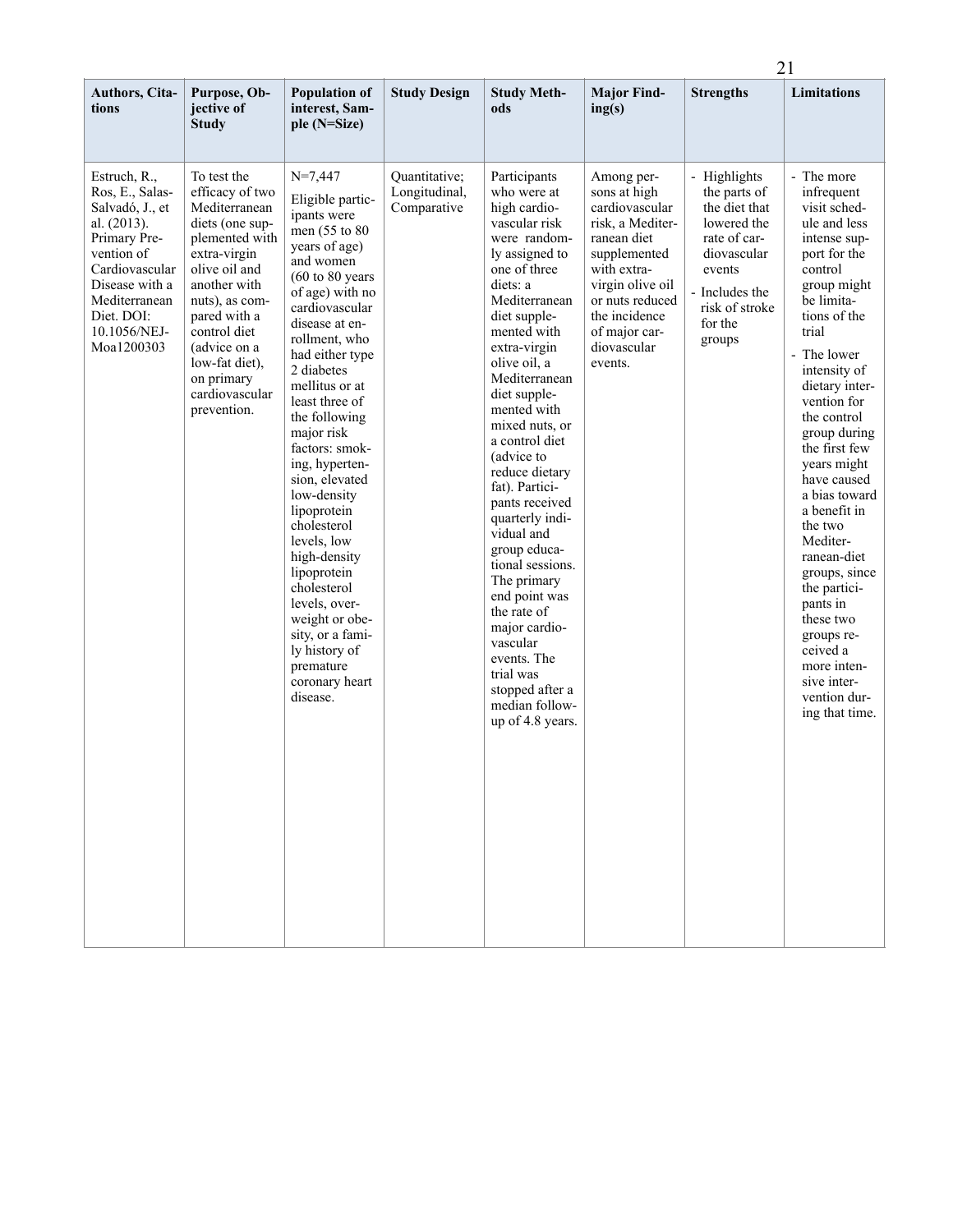|                                                                                                                                                                                                  |                                                                                                                                                                                                                                                                          |                                                                                                                                                                                                                                                                                                                                                                                                                                                                                                                                                                                                   |                                               |                                                                                                                                                                                                                                                                                                                                                                                                                                                                                                                                                                                                          |                                                                                                                                                                                                                   |                                                                                                                                                                | 21                                                                                                                                                                                                                                                                                                                                                                                                                                                                                                                                 |  |
|--------------------------------------------------------------------------------------------------------------------------------------------------------------------------------------------------|--------------------------------------------------------------------------------------------------------------------------------------------------------------------------------------------------------------------------------------------------------------------------|---------------------------------------------------------------------------------------------------------------------------------------------------------------------------------------------------------------------------------------------------------------------------------------------------------------------------------------------------------------------------------------------------------------------------------------------------------------------------------------------------------------------------------------------------------------------------------------------------|-----------------------------------------------|----------------------------------------------------------------------------------------------------------------------------------------------------------------------------------------------------------------------------------------------------------------------------------------------------------------------------------------------------------------------------------------------------------------------------------------------------------------------------------------------------------------------------------------------------------------------------------------------------------|-------------------------------------------------------------------------------------------------------------------------------------------------------------------------------------------------------------------|----------------------------------------------------------------------------------------------------------------------------------------------------------------|------------------------------------------------------------------------------------------------------------------------------------------------------------------------------------------------------------------------------------------------------------------------------------------------------------------------------------------------------------------------------------------------------------------------------------------------------------------------------------------------------------------------------------|--|
| Authors, Cita-<br>tions                                                                                                                                                                          | Purpose, Ob-<br>jective of<br><b>Study</b>                                                                                                                                                                                                                               | <b>Population of</b><br>interest, Sam-<br>ple (N=Size)                                                                                                                                                                                                                                                                                                                                                                                                                                                                                                                                            | <b>Study Design</b>                           | <b>Study Meth-</b><br>ods                                                                                                                                                                                                                                                                                                                                                                                                                                                                                                                                                                                | <b>Major Find-</b><br>ing(s)                                                                                                                                                                                      | <b>Strengths</b>                                                                                                                                               | <b>Limitations</b>                                                                                                                                                                                                                                                                                                                                                                                                                                                                                                                 |  |
| Estruch, R.,<br>Ros, E., Salas-<br>Salvadó, J., et<br>al. (2013).<br>Primary Pre-<br>vention of<br>Cardiovascular<br>Disease with a<br>Mediterranean<br>Diet. DOI:<br>10.1056/NEJ-<br>Moa1200303 | To test the<br>efficacy of two<br>Mediterranean<br>diets (one sup-<br>plemented with<br>extra-virgin<br>olive oil and<br>another with<br>nuts), as com-<br>pared with a<br>control diet<br>(advice on a<br>low-fat diet).<br>on primary<br>cardiovascular<br>prevention. | $N=7,447$<br>Eligible partic-<br>ipants were<br>men (55 to 80<br>years of age)<br>and women<br>$(60 \text{ to } 80 \text{ years})$<br>of age) with no<br>cardiovascular<br>disease at en-<br>rollment, who<br>had either type<br>2 diabetes<br>mellitus or at<br>least three of<br>the following<br>major risk<br>factors: smok-<br>ing, hyperten-<br>sion, elevated<br>low-density<br>lipoprotein<br>cholesterol<br>levels, low<br>high-density<br>lipoprotein<br>cholesterol<br>levels, over-<br>weight or obe-<br>sity, or a fami-<br>ly history of<br>premature<br>coronary heart<br>disease. | Quantitative;<br>Longitudinal,<br>Comparative | Participants<br>who were at<br>high cardio-<br>vascular risk<br>were random-<br>ly assigned to<br>one of three<br>diets: a<br>Mediterranean<br>diet supple-<br>mented with<br>extra-virgin<br>olive oil, a<br>Mediterranean<br>diet supple-<br>mented with<br>mixed nuts, or<br>a control diet<br>(advice to<br>reduce dietary<br>fat). Partici-<br>pants received<br>quarterly indi-<br>vidual and<br>group educa-<br>tional sessions.<br>The primary<br>end point was<br>the rate of<br>major cardio-<br>vascular<br>events. The<br>trial was<br>stopped after a<br>median follow-<br>up of 4.8 years. | Among per-<br>sons at high<br>cardiovascular<br>risk, a Mediter-<br>ranean diet<br>supplemented<br>with extra-<br>virgin olive oil<br>or nuts reduced<br>the incidence<br>of major car-<br>diovascular<br>events. | - Highlights<br>the parts of<br>the diet that<br>lowered the<br>rate of car-<br>diovascular<br>events<br>- Includes the<br>risk of stroke<br>for the<br>groups | - The more<br>infrequent<br>visit sched-<br>ule and less<br>intense sup-<br>port for the<br>control<br>group might<br>be limita-<br>tions of the<br>trial<br>- The lower<br>intensity of<br>dietary inter-<br>vention for<br>the control<br>group during<br>the first few<br>years might<br>have caused<br>a bias toward<br>a benefit in<br>the two<br>Mediter-<br>ranean-diet<br>groups, since<br>the partici-<br>pants in<br>these two<br>groups re-<br>ceived a<br>more inten-<br>sive inter-<br>vention dur-<br>ing that time. |  |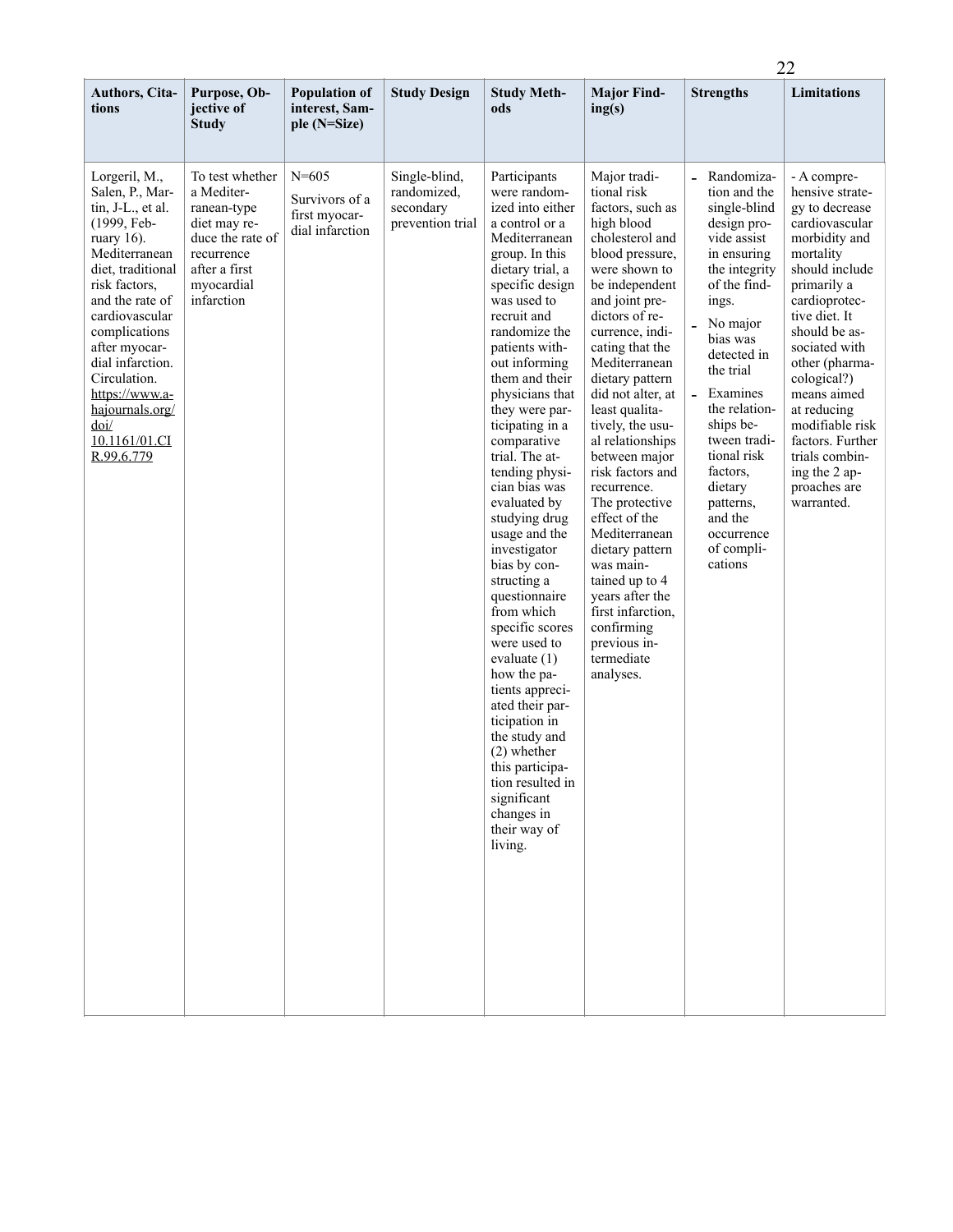|                                                                                                                                                                                                                                                                                                                                                     |                                                                                                                                             |                                                                 |                                                               |                                                                                                                                                                                                                                                                                                                                                                                                                                                                                                                                                                                                                                                                                                                                                                          |                                                                                                                                                                                                                                                                                                                                                                                                                                                                                                                                                                                                |                                                                                                                                                                                                                                                                                                                                                                                            | 22                                                                                                                                                                                                                                                                                                                                                                           |  |  |
|-----------------------------------------------------------------------------------------------------------------------------------------------------------------------------------------------------------------------------------------------------------------------------------------------------------------------------------------------------|---------------------------------------------------------------------------------------------------------------------------------------------|-----------------------------------------------------------------|---------------------------------------------------------------|--------------------------------------------------------------------------------------------------------------------------------------------------------------------------------------------------------------------------------------------------------------------------------------------------------------------------------------------------------------------------------------------------------------------------------------------------------------------------------------------------------------------------------------------------------------------------------------------------------------------------------------------------------------------------------------------------------------------------------------------------------------------------|------------------------------------------------------------------------------------------------------------------------------------------------------------------------------------------------------------------------------------------------------------------------------------------------------------------------------------------------------------------------------------------------------------------------------------------------------------------------------------------------------------------------------------------------------------------------------------------------|--------------------------------------------------------------------------------------------------------------------------------------------------------------------------------------------------------------------------------------------------------------------------------------------------------------------------------------------------------------------------------------------|------------------------------------------------------------------------------------------------------------------------------------------------------------------------------------------------------------------------------------------------------------------------------------------------------------------------------------------------------------------------------|--|--|
| <b>Authors, Cita-</b><br>tions                                                                                                                                                                                                                                                                                                                      | Purpose, Ob-<br>jective of<br><b>Study</b>                                                                                                  | <b>Population of</b><br>interest, Sam-<br>ple (N=Size)          | <b>Study Design</b>                                           | <b>Study Meth-</b><br>ods                                                                                                                                                                                                                                                                                                                                                                                                                                                                                                                                                                                                                                                                                                                                                | <b>Major Find-</b><br>ing(s)                                                                                                                                                                                                                                                                                                                                                                                                                                                                                                                                                                   | <b>Strengths</b>                                                                                                                                                                                                                                                                                                                                                                           | Limitations                                                                                                                                                                                                                                                                                                                                                                  |  |  |
| Lorgeril, M.,<br>Salen, P., Mar-<br>tin, J-L., et al.<br>(1999, Feb-<br>ruary 16).<br>Mediterranean<br>diet, traditional<br>risk factors,<br>and the rate of<br>cardiovascular<br>complications<br>after myocar-<br>dial infarction.<br>Circulation.<br>https://www.a-<br>hajournals.org/<br>$\overline{\text{doi}}$<br>10.1161/01.CI<br>R.99.6.779 | To test whether<br>a Mediter-<br>ranean-type<br>diet may re-<br>duce the rate of<br>recurrence<br>after a first<br>myocardial<br>infarction | $N = 605$<br>Survivors of a<br>first myocar-<br>dial infarction | Single-blind,<br>randomized,<br>secondary<br>prevention trial | Participants<br>were random-<br>ized into either<br>a control or a<br>Mediterranean<br>group. In this<br>dietary trial, a<br>specific design<br>was used to<br>recruit and<br>randomize the<br>patients with-<br>out informing<br>them and their<br>physicians that<br>they were par-<br>ticipating in a<br>comparative<br>trial. The at-<br>tending physi-<br>cian bias was<br>evaluated by<br>studying drug<br>usage and the<br>investigator<br>bias by con-<br>structing a<br>questionnaire<br>from which<br>specific scores<br>were used to<br>evaluate $(1)$<br>how the pa-<br>tients appreci-<br>ated their par-<br>ticipation in<br>the study and<br>$(2)$ whether<br>this participa-<br>tion resulted in<br>significant<br>changes in<br>their way of<br>living. | Major tradi-<br>tional risk<br>factors, such as<br>high blood<br>cholesterol and<br>blood pressure,<br>were shown to<br>be independent<br>and joint pre-<br>dictors of re-<br>currence, indi-<br>cating that the<br>Mediterranean<br>dietary pattern<br>did not alter, at<br>least qualita-<br>tively, the usu-<br>al relationships<br>between major<br>risk factors and<br>recurrence.<br>The protective<br>effect of the<br>Mediterranean<br>dietary pattern<br>was main-<br>tained up to 4<br>years after the<br>first infarction,<br>confirming<br>previous in-<br>termediate<br>analyses. | - Randomiza-<br>tion and the<br>single-blind<br>design pro-<br>vide assist<br>in ensuring<br>the integrity<br>of the find-<br>ings.<br>No major<br>$\overline{a}$<br>bias was<br>detected in<br>the trial<br>$\overline{a}$<br>Examines<br>the relation-<br>ships be-<br>tween tradi-<br>tional risk<br>factors,<br>dietary<br>patterns,<br>and the<br>occurrence<br>of compli-<br>cations | - A compre-<br>hensive strate-<br>gy to decrease<br>cardiovascular<br>morbidity and<br>mortality<br>should include<br>primarily a<br>cardioprotec-<br>tive diet. It<br>should be as-<br>sociated with<br>other (pharma-<br>cological?)<br>means aimed<br>at reducing<br>modifiable risk<br>factors. Further<br>trials combin-<br>ing the 2 ap-<br>proaches are<br>warranted. |  |  |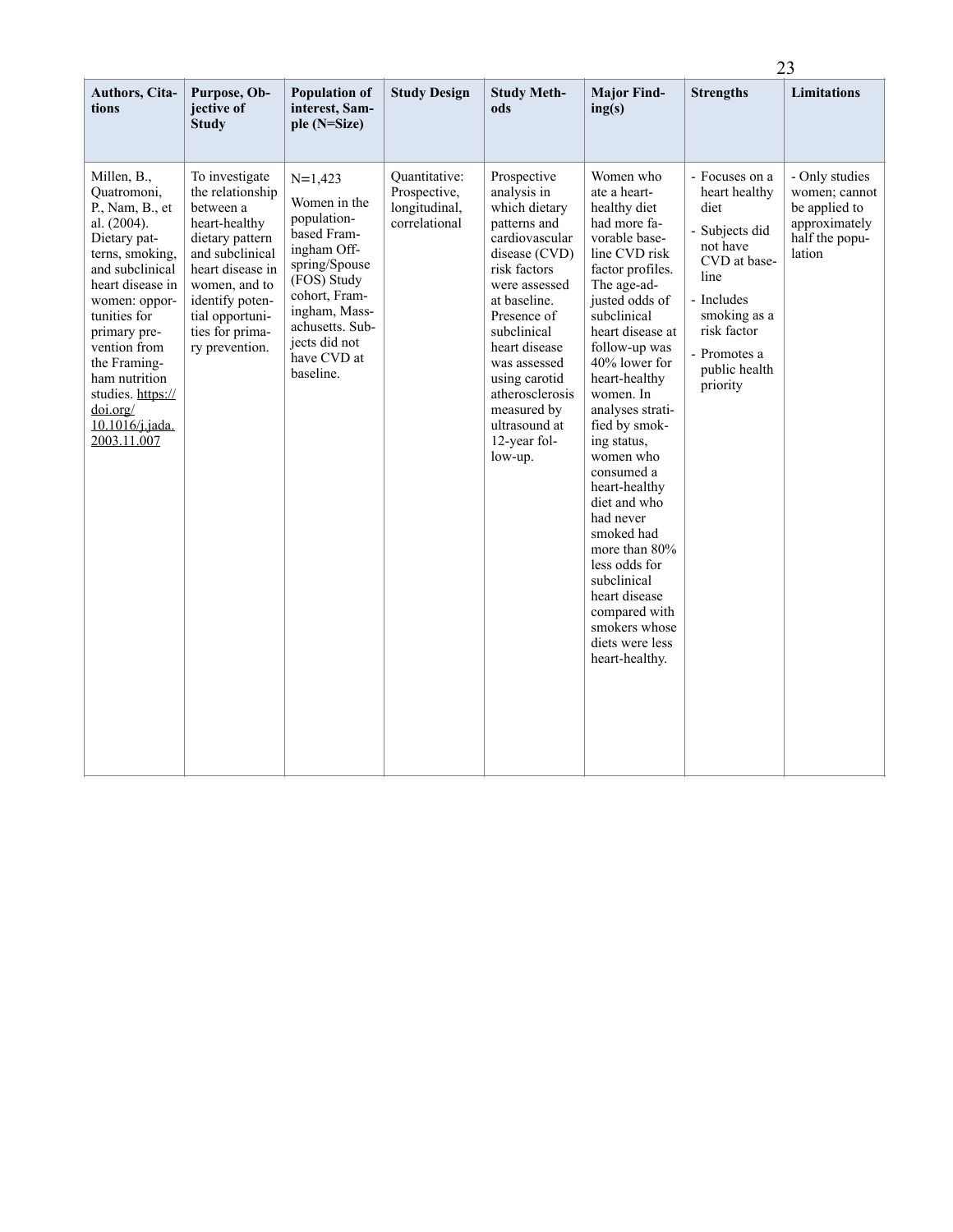|                                                                                                                                                                                                                                                                                                                   |                                                                                                                                                                                                                        |                                                                                                                                                                                                          |                                                                 |                                                                                                                                                                                                                                                                                                               |                                                                                                                                                                                                                                                                                                                                                                                                                                                                                                                                         | 23                                                                                                                                                                                      |                                                                                               |  |
|-------------------------------------------------------------------------------------------------------------------------------------------------------------------------------------------------------------------------------------------------------------------------------------------------------------------|------------------------------------------------------------------------------------------------------------------------------------------------------------------------------------------------------------------------|----------------------------------------------------------------------------------------------------------------------------------------------------------------------------------------------------------|-----------------------------------------------------------------|---------------------------------------------------------------------------------------------------------------------------------------------------------------------------------------------------------------------------------------------------------------------------------------------------------------|-----------------------------------------------------------------------------------------------------------------------------------------------------------------------------------------------------------------------------------------------------------------------------------------------------------------------------------------------------------------------------------------------------------------------------------------------------------------------------------------------------------------------------------------|-----------------------------------------------------------------------------------------------------------------------------------------------------------------------------------------|-----------------------------------------------------------------------------------------------|--|
| Authors, Cita-<br>tions                                                                                                                                                                                                                                                                                           | Purpose, Ob-<br>jective of<br><b>Study</b>                                                                                                                                                                             | <b>Population of</b><br>interest, Sam-<br>ple (N=Size)                                                                                                                                                   | <b>Study Design</b>                                             | <b>Study Meth-</b><br>ods                                                                                                                                                                                                                                                                                     | <b>Major Find-</b><br>ing(s)                                                                                                                                                                                                                                                                                                                                                                                                                                                                                                            | <b>Strengths</b>                                                                                                                                                                        | <b>Limitations</b>                                                                            |  |
| Millen, B.,<br>Quatromoni,<br>P., Nam, B., et<br>al. $(2004)$ .<br>Dietary pat-<br>terns, smoking,<br>and subclinical<br>heart disease in<br>women: oppor-<br>tunities for<br>primary pre-<br>vention from<br>the Framing-<br>ham nutrition<br>studies. https://<br>doi.org/<br>$10.1016$ /j.jada.<br>2003.11.007 | To investigate<br>the relationship<br>between a<br>heart-healthy<br>dietary pattern<br>and subclinical<br>heart disease in<br>women, and to<br>identify poten-<br>tial opportuni-<br>ties for prima-<br>ry prevention. | $N=1,423$<br>Women in the<br>population-<br>based Fram-<br>ingham Off-<br>spring/Spouse<br>(FOS) Study<br>cohort, Fram-<br>ingham, Mass-<br>achusetts. Sub-<br>jects did not<br>have CVD at<br>baseline. | Quantitative:<br>Prospective,<br>longitudinal,<br>correlational | Prospective<br>analysis in<br>which dietary<br>patterns and<br>cardiovascular<br>disease (CVD)<br>risk factors<br>were assessed<br>at baseline.<br>Presence of<br>subclinical<br>heart disease<br>was assessed<br>using carotid<br>atherosclerosis<br>measured by<br>ultrasound at<br>12-year fol-<br>low-up. | Women who<br>ate a heart-<br>healthy diet<br>had more fa-<br>vorable base-<br>line CVD risk<br>factor profiles.<br>The age-ad-<br>justed odds of<br>subclinical<br>heart disease at<br>follow-up was<br>40% lower for<br>heart-healthy<br>women. In<br>analyses strati-<br>fied by smok-<br>ing status,<br>women who<br>consumed a<br>heart-healthy<br>diet and who<br>had never<br>smoked had<br>more than 80%<br>less odds for<br>subclinical<br>heart disease<br>compared with<br>smokers whose<br>diets were less<br>heart-healthy. | - Focuses on a<br>heart healthy<br>diet<br>- Subjects did<br>not have<br>CVD at base-<br>line<br>- Includes<br>smoking as a<br>risk factor<br>- Promotes a<br>public health<br>priority | - Only studies<br>women; cannot<br>be applied to<br>approximately<br>half the popu-<br>lation |  |